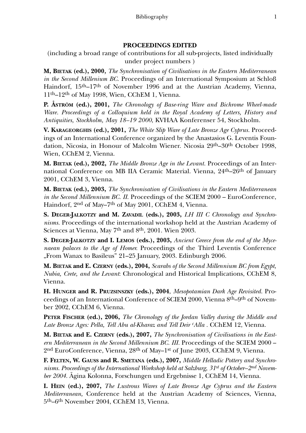## **PROCEEDINGS EDITED**

(including a broad range of contributions for all sub-projects, listed individually under project numbers )

**M, BIETAK (ed.), 2000***, The Synchronisation of Civilisations in the Eastern Mediterranean in the Second Millenium BC.* Proceedings of an International Symposium at Schloß Haindorf, 15<sup>th</sup>–17<sup>th</sup> of November 1996 and at the Austrian Academy, Vienna, 11th–12th of May 1998, Wien, CChEM 1, Vienna.

**P. ÅSTRÖM (ed.), 2001,** *The Chronology of Base-ring Ware and Bichrome Wheel-made Ware. Proceedings of a Colloquium held in the Royal Academy of Letters, History and Antiquities, Stockholm, May 18–19 2000*, KVHAA Konferenser 54, Stockholm.

**V. KARAGEORGHIS (ed.), 2001,** *The White Slip Ware of Late Bronze Age Cyprus.* Proceedings of an International Conference organized by the Anastasios G. Leventis Foundation, Nicosia, in Honour of Malcolm Wiener. Nicosia 29th–30th October 1998, Wien, CChEM 2, Vienna.

**M. BIETAK (ed.), 2002,** *The Middle Bronze Age in the Levant.* Proceedings of an International Conference on MB IIA Ceramic Material. Vienna, 24<sup>th</sup>–26<sup>th</sup> of January 2001, CChEM 3, Vienna.

**M. BIETAK (ed.), 2003,** *The Synchronisation of Civilisations in the Eastern Mediterranean in the Second Millennium BC. II*. Proceedings of the SCIEM 2000 – EuroConference, Haindorf, 2nd of May–7th of May 2001, CChEM 4, Vienna.

**S. DEGER-JALKOTZY and M. ZAVADIL (eds.), 2003,** *LH III C Chronology and Synchronisms.* Proceedings of the international workshop held at the Austrian Academy of Sciences at Vienna, May 7<sup>th</sup> and 8<sup>th</sup>, 2001. Wien 2003.

**S. DEGER-JALKOTZY and I. LEMOS (eds.), 2003,** *Ancient Greece from the end of the Mycenaean palaces to the Age of Homer.* Proceedings of the Third Leventis Conference "From Wanax to Basileus" 21–25 January, 2003. Edinburgh 2006.

**M. BIETAK and E. CZERNY (eds.), 2004,** *Scarabs of the Second Millennium BC from Egypt, Nubia, Crete, and the Levant*: Chronological and Historical Implications, CChEM 8, Vienna.

**H. HUNGER and R. PRUZSINSZKY (eds.), 2004**, *Mesopotamian Dark Age Revisited.* Proceedings of an International Conference of SCIEM 2000, Vienna 8th–9th of November 2002, CChEM 6, Vienna.

**PETER FISCHER (ed.), 2006,** *The Chronology of the Jordan Valley during the Middle and Late Bronze Ages: Pella, Tell Abu al-Kharaz and Tell Deir cAlla .* CChEM 12, Vienna.

**M. BIETAK and E. CZERNY (eds.), 2007,** *The Synchronisation of Civilisations in the Eastern Mediterranean in the Second Millennium BC. III.* Proceedings of the SCIEM 2000 – 2nd EuroConference, Vienna, 28th of May–1st of June 2003, CChEM 9, Vienna.

**F. FELTEN, W. GAUSS and R. SMETANA (eds.), 2007,** *Middle Helladic Pottery and Synchronisms. Proceedings of the International Workshop held at Salzburg, 31st of October–2nd November 2004.* Ägina Kolonna, Forschungen und Ergebnisse 1, CChEM 14, Vienna.

**I. HEIN (ed.), 2007,** *The Lustrous Wares of Late Bronze Age Cyprus and the Eastern Mediterranean,* Conference held at the Austrian Academy of Sciences, Vienna, 5th–6th November 2004, CChEM 13, Vienna.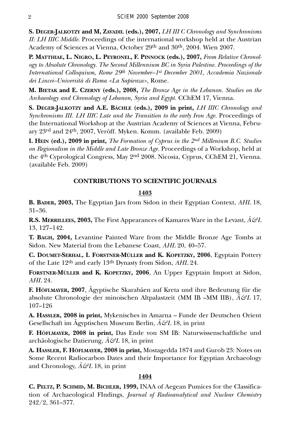**S. DEGER-JALKOTZY and M, ZAVADIL (eds.), 2007,** *LH III C Chronology and Synchronisms II: LH IIIC Middle.* Proceedings of the international workshop held at the Austrian Academy of Sciences at Vienna, October 29th and 30th, 2004. Wien 2007.

**P. MATTHIAE, L. NIGRO, L. PEYRONEL, F. PINNOCK (eds.), 2007,** *From Relative Chronology to Absolute Chronology. The Second Millennium BC in Syria Palestine. Proceedings of the International Colloquium, Rome 29th November–1st December 2001, Accademia Nazionale dei Lincei–Università di Roma <La Sapienza>,* Rome.

**M. BIETAK and E. CZERNY (eds.), 2008,** *The Bronze Age in the Lebanon. Studies on the Archaeology and Chronology of Lebanon, Syria and Egypt.* CChEM 17, Vienna.

**S. DEGER-JALKOTZY and A.E. BÄCHLE (eds.), 2009 in print,** *LH IIIC Chronology and Synchronisms III. LH IIIC Late and the Transition to the early Iron Age.* Proceedings of the International Workshop at the Austrian Academy of Sciences at Vienna, February 23rd and 24th, 2007, Veröff. Myken. Komm. (available Feb. 2009)

**I. HEIN (ed.), 2009 in print,** *The Formation of Cyprus in the 2nd Millenium B.C. Studies on Regionalism in the Middle and Late Bronze Age.* Proceedings of a Workshop, held at the 4th Cyprological Congress, May 2nd 2008. Nicosia, Cyprus, CChEM 21, Vienna. (available Feb. 2009)

# **CONTRIBUTIONS TO SCIENTIFIC JOURNALS**

# **1403**

**B. BADER, 2003,** The Egyptian Jars from Sidon in their Egyptian Context, *AHL* 18, 31–36.

**R.S. MERRILLEES, 2003,** The First Appearances of Kamares Ware in the Levant, *Ä&L* 13, 127–142.

**T. BAGH, 2004,** Levantine Painted Ware from the Middle Bronze Age Tombs at Sidon. New Material from the Lebanese Coast, *AHL* 20, 40–57.

**C. DOUMET-SERHAL, I. FORSTNER-MÜLLER and K. KOPETZKY, 2006**, Egyptain Pottery of the Late 12th and early 13th Dynasty from Sidon, *AHL* 24.

**FORSTNER-MÜLLER and K. KOPETZKY, 2006**, An Upper Egyptain Import at Sidon, *AHL* 24.

**F. HÖFLMAYER, 2007**, Ägyptische Skarabäen auf Kreta und ihre Bedeutung für die absolute Chronologie der minoischen Altpalastzeit (MM IB –MM IIB), *Ä&L* 17, 107–126

**A. HASSLER, 2008 in print,** Mykenisches in Amarna – Funde der Deutschen Orient Gesellschaft im Ägyptischen Museum Berlin, *Ä&L* 18, in print

**F. HÖFLMAYER, 2008 in print,** Das Ende von SM IB: Naturwissenschaftliche und archäologische Datierung, *Ä&L* 18, in print

**A. HASSLER, F. HÖFLMAYER, 2008 in print,** Mostagedda 1874 and Gurob 23: Notes on Some Recent Radiocarbon Dates and their Importance for Egyptian Archaeology and Chronology, *Ä&L* 18, in print

## **1404**

**C. PELTZ, P. SCHMID, M. BICHLER, 1999,** INAA of Aegean Pumices for the Classification of Archaeological FIndings, *Journal of Radioanalytical and Nuclear Chemistry* 242/2, 361–377.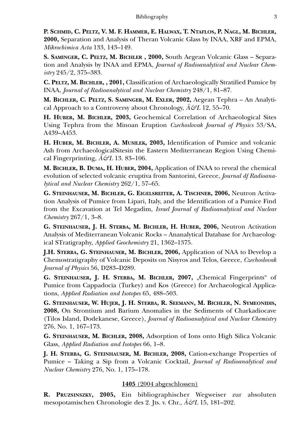**P. SCHMID, C. PELTZ, V. M. F. HAMMER, E. HALWAX, T. NTAFLOS, P. NAGL, M. BICHLER, 2000,** Separation and Analysis of Theran Volcanic Glass by INAA, XRF and EPMA, *Mikrochimica Acta* 133, 143–149.

**S. SAMINGER, C. PELTZ, M. BICHLER , 2000,** South Aegean Volcanic Glass – Separation and Analysis by INAA and EPMA, *Journal of Radioanalytical and Nuclear Chemistry* 245/2, 375–383.

**C. PELTZ, M. BICHLER, , 2001,** Classification of Archaeologically Stratified Pumice by INAA, *Journal of Radioanalytical and Nuclear Chemistry* 248/1, 81–87.

**M. BICHLER, C. PELTZ, S. SAMINGER, M. EXLER, 2002,** Aegean Tephra – An Analytical Approach to a Controversy about Chronology, *Ä&L* 12, 55–70.

**H. HUBER, M. BICHLER, 2003,** Geochemical Correlation of Archaeological Sites Using Tephra from the Minoan Eruption *Czechoslovak Journal of Physics* 53/SA, A439–A453.

**H. HUBER, M. BICHLER, A. MUSILEK, 2003,** Identification of Pumice and volcanic Ash from ArchaeologicalSitesin the Eastern Mediterranean Region Using Chemical Fingerprinting, *Ä&L* 13. 83–106.

**M. BICHLER, B. DUMA, H. HUBER, 2004,** Application of INAA to reveal the chemical evolution of selected volcanic eruptiva from Santorini, Greece, *Journal df Radioanalytical and Nuclear Chemistry* 262/1, 57–65.

**G. STEINHAUSER, M. BICHLER, G. EIGELSREITER, A. TISCHNER, 2006,** Neutron Activation Analysis of Pumice from Lipari, Italy, and the Identification of a Pumice Find from the Excavation at Tel Megadim, *Israel Journal of Radioanalytical and Nuclear Chemistry* 267/1, 3–8.

**G. STEINHAUSER, J. H. STERBA, M. BICHLER, H. HUBER, 2006,** Neutron Activation Analysis of Mediterranean Volcanic Rocks – Ananalytical Database for Archaeological STratigraphy, *Applied Geochemistry* 21, 1362–1375.

**J.H. STERBA, G. STEINHAUSER, M. BICHLER, 2006,** Application of NAA to Develop a Chemostratigraphy of Volcanic Deposits on Nisyros and Telos, Greece, *Czechoslovak Journal of Physics* 56, D283–D289.

**G. STEINHAUSER, J. H. STERBA, M. BICHLER, 2007, "Chemical Fingerprints" of** Pumice from Cappadocia (Turkey) and Kos (Greece) for Archaeological Applications, *Applied Radiation and Isotopes* 65, 488–503.

**G. STEINHAUSER, W. HUJER, J. H. STERBA, R. SEEMANN, M. BICHLER, N. SYMEONIDIS, 2008,** On Strontium and Barium Anomalies in the Sediments of Charkadiocave (Tilos Island, Dodekanese, Greece), *Journal of Radioanalytical and Nuclear Chemistry* 276, No. 1, 167–173.

**G. STEINHAUSER, M. BICHLER, 2008,** Adsorption of Ions onto High Silica Volcanic Glass, *Applied Radiation and Isotopes* 66, 1–8.

**J. H. STERBA, G. STEINHAUSER, M. BICHLER, 2008,** Cation-exchange Properties of Pumice – Taking a Sip from a Volcanic Cocktail, *Journal of Radioanalytical and Nuclear Chemistry* 276, No. 1, 175–178.

# **1405** (2004 abgeschlossen)

**R. PRUZSINSZKY, 2005,** Ein bibliographischer Wegweiser zur absoluten mesopotamischen Chronologie des 2. Jts. v. Chr., *Ä&L* 15, 181–202.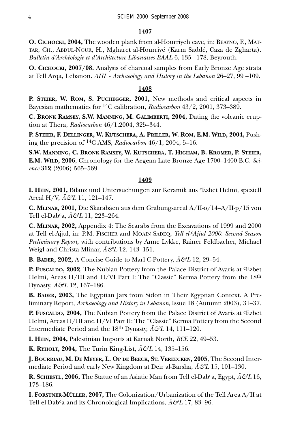#### **1407**

**O. CICHOCKI, 2004,** The wooden plank from al-Hourriyeh cave, in: BEAYNO, F., MAT-TAR, CH., ABDUL-NOUR, H., Mgharet al-Hourriyé (Karm Saddé, Caza de Zgharta). *Bulletin d'Archéologie et d'Architecture Libanaises BAAL* 6, 135 –178, Beyrouth.

**O. CICHOCKI, 2007/08.** Analysis of charcoal samples from Early Bronze Age strata at Tell Arqa, Lebanon. *AHL* - *Archaeology and History in the Lebanon* 26–27, 99 –109.

#### **1408**

**P. STEIER, W. ROM, S. PUCHEGGER, 2001,** New methods and critical aspects in Bayesian mathematics for 14C calibration, *Radiocarbon* 43/2, 2001, 373–389.

**C. BRONK RAMSEY, S.W. MANNING, M. GALIMBERTI, 2004,** Dating the volcanic eruption at Thera, *Radiocarbon* 46/1,2004, 325–344.

**P. STEIER, F. DELLINGER, W. KUTSCHERA, A. PRILLER, W. ROM, E.M. WILD, 2004,** Pushing the precision of 14C AMS, *Radiocarbon* 46/1, 2004, 5–16.

**S.W. MANNING, C. BRONK RAMSEY, W. KUTSCHERA, T. HIGHAM, B. KROMER, P. STEIER, E.M. WILD, 2006**, Chronology for the Aegean Late Bronze Age 1700–1400 B.C. *Science* **312** (2006) 565–569.

#### **1409**

**I. HEIN, 2001,** Bilanz und Untersuchungen zur Keramik aus cEzbet Helmi, speziell Areal H/V, *Ä&L* 11, 121–147.

**C. MLINAR, 2001,** Die Skarabäen aus dem Grabungsareal A/II-o/14–A/II-p/15 von Tell el-Dabca, *Ä&L* 11, 223–264.

**C. MLINAR, 2002,** Appendix 4: The Scarabs from the Excavations of 1999 and 2000 at Tell el-Ajjul, in: P.M. FISCHER and MOAIN SADEQ, *Tell el-cAjjul 2000. Second Season Preliminary Report,* with contributions by Anne Lykke, Rainer Feldbacher, Michael Weigl and Christa Mlinar, *Ä&L* 12, 143–151.

**B. BADER, 2002,** A Concise Guide to Marl C-Pottery, *Ä&L* 12, 29–54.

**P. FUSCALDO, 2002**, The Nubian Pottery from the Palace District of Avaris at cEzbet Helmi, Areas H/III and H/VI Part I: The "Classic" Kerma Pottery from the 18th Dynasty, *Ä&L* 12, 167–186.

**B. BADER, 2003,** The Egyptian Jars from Sidon in Their Egyptian Context. A Preliminary Report, *Archaeology and History in Lebanon*, Issue 18 (Autumn 2003), 31–37.

**P. FUSCALDO, 2004,** The Nubian Pottery from the Palace District of Avaris at <sup>c</sup>Ezbet Helmi, Areas H/III and H/VI Part II: The "Classic" Kerma Pottery from the Second Intermediate Period and the 18th Dynasty, *Ä&L* 14, 111–120.

**I. HEIN, 2004,** Palestinian Imports at Karnak North, *BCE* 22, 49–53.

**K. RYHOLT, 2004,** The Turin King-List, *Ä&L* 14, 135–156.

**J. BOURRIAU, M. DE MEYER, L. OP DE BEECK, ST. VEREECKEN, 2005**, The Second Intermediate Period and early New Kingdom at Deir al-Barsha, *Ä&L* 15, 101–130.

**R. SCHIESTL, 2006,** The Statue of an Asiatic Man from Tell el-Dabca, Egypt, *Ä&L* 16, 173–186.

**I. FORSTNER-MÜLLER, 2007,** The Colonization/Urbanization of the Tell Area A/II at Tell el-Dab<sup>c</sup>a and its Chronological Implications,  $\ddot{A}\mathcal{C}L$  17, 83–96.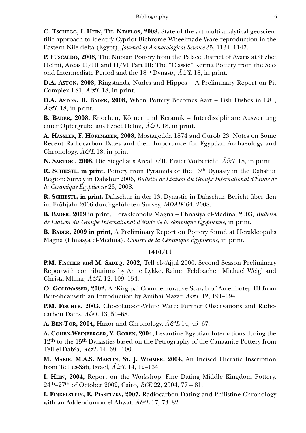**C. TSCHEGG, I. HEIN, TH. NTAFLOS, 2008,** State of the art multi-analytical geoscientific approach to identify Cypriot Bichrome Wheelmade Ware reproduction in the Eastern Nile delta (Egypt), *Journal of Archaeological Science* 35, 1134–1147.

**P. FUSCALDO, 2008,** The Nubian Pottery from the Palace District of Avaris at <sup>c</sup>Ezbet Helmi, Areas H/III and H/VI Part III: The "Classic" Kerma Pottery from the Second Intermediate Period and the 18<sup>th</sup> Dynasty,  $\ddot{A}\mathcal{C}^{2}L$  18, in print.

**D.A. ASTON, 2008,** Ringstands, Nudes and Hippos – A Preliminary Report on Pit Complex L81,  $\ddot{A}\mathcal{L}18$ , in print.

**D.A. ASTON, B. BADER, 2008,** When Pottery Becomes Aart – Fish Dishes in L81,  $\hat{A}\mathcal{L}L$  18, in print.

**B. BADER, 2008,** Knochen, Körner und Keramik – Interdisziplinäre Auswertung einer Opfergrube aus Ezbet Helmi, *Ä&L* 18, in print.

**A. HASSLER, F. HÖFLMAYER, 2008,** Mostagedda 1874 and Gurob 23: Notes on Some Recent Radiocarbon Dates and their Importance for Egyptian Archaeology and Chronology,  $\ddot{A}\mathcal{L}18$ , in print

**N. SARTORI, 2008,** Die Siegel aus Areal F/II. Erster Vorbericht, *Ä&L* 18, in print.

**R. SCHIESTL, in print,** Pottery from Pyramids of the 13th Dynasty in the Dahshur Region: Survey in Dahshur 2006, *Bulletin de Liaison du Groupe International d'Étude de la Céramique Égyptienne* 23, 2008.

**R. SCHIESTL, in print,** Dahschur in der 13. Dynastie in Dahschur. Bericht über den im Frühjahr 2006 durchgeführten Survey, *MDAIK* 64, 2008.

**B. BADER, 2009 in print,** Herakleopolis Magna – Ehnasiya el-Medina, 2003, *Bulletin de Liaison du Groupe International d'étude de la céramique Égyptienne,* in print.

**B. BADER, 2009 in print,** A Preliminary Report on Pottery found at Herakleopolis Magna (Ehnasya el-Medina), *Cahiers de la Céramique Égyptienne,* in print.

# **1410/11**

**P.M. FISCHER and M. SADEQ, 2002,** Tell el-cAjjul 2000. Second Season Preliminary Reportwith contributions by Anne Lykke, Rainer Feldbacher, Michael Weigl and Christa Mlinar, *Ä&L* 12, 109–154.

**O. GOLDWASSER, 2002,** A 'Kirgipa' Commemorative Scarab of Amenhotep III from Beit-Sheanwith an Introduction by Amihai Mazar, *Ä&L* 12, 191–194.

**P.M. FISCHER, 2003,** Chocolate-on-White Ware: Further Observations and Radiocarbon Dates. *Ä&L* 13, 51–68.

**A. BEN-TOR, 2004,** Hazor and Chronology, *Ä&L* 14, 45–67.

**A. COHEN-WEINBERGER, Y. GOREN, 2004,** Levantine-Egyptian Interactions during the 12th to the 15th Dynasties based on the Petrography of the Canaanite Pottery from Tell el-Dabca, *Ä&L* 14, 69 –100.

**M. MAEIR, M.A.S. MARTIN, ST. J. WIMMER, 2004,** An Incised Hieratic Inscription from Tell es-Sâfi, Israel, *Ä&L* 14, 12–134.

**I. HEIN, 2004,** Report on the Workshop: Fine Dating Middle Kingdom Pottery. 24th–27th of October 2002, Cairo, *BCE* 22, 2004, 77 – 81.

**I. FINKELSTEIN, E. PIASETZKY, 2007,** Radiocarbon Dating and Philistine Chronology with an Addendumon el-Ahwat, *Ä&L* 17, 73–82.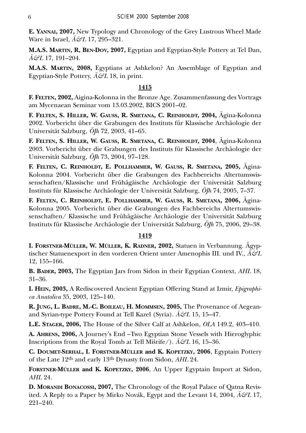**E. YANNAI, 2007,** New Typology and Chronology of the Grey Lustrous Wheel Made Ware in Israel, *Ä&L* 17, 295–321.

**M.A.S. MARTIN, R, BEN-DOV, 2007,** Egyptian and Egyptian-Style Pottery at Tel Dan, *Ä&L* 17, 191–204.

**M.A.S. MARTIN, 2008,** Egyptians at Ashkelon? An Assemblage of Egyptian and Egyptian-Style Pottery, *Ä&L* 18, in print.

## **1415**

**F. FELTEN, 2002,** Aigina-Kolonna in the Bronze Age. Zusammenfassung des Vortrags am Mycenaean Seminar vom 13.03.2002, BICS 2001–02.

**F. FELTEN, S. HILLER, W. GAUSS, R. SMETANA, C. REINHOLDT, 2004,** Ägina-Kolonna 2002. Vorbericht über die Grabungen des Instituts für Klassische Archäologie der Universität Salzburg, *ÖJh* 72, 2003, 41–65.

**F. FELTEN, S. HILLER, W. GAUSS, R. SMETANA, C. REINHOLDT, 2004**, Ägina-Kolonna 2003. Vorbericht über die Grabungen des Instituts für Klassische Archäologie der Universität Salzburg, *ÖJh* 73, 2004, 97–128.

**F. FELTEN, C. REINHOLDT, E. POLLHAMMER, W. GAUSS, R. SMETANA, 2005,** Ägina-Kolonna 2004. Vorbericht über die Grabungen des Fachbereichs Altertumswissenschaften/Klassische und Frühägäische Archäologie der Universität Salzburg Instituts für Klassische Archäologie der Universität Salzburg, *ÖJh* 74, 2005, 7–37.

**F. FELTEN, C. REINHOLDT, E. POLLHAMMER, W. GAUSS, R. SMETANA, 2006,** Ägina-Kolonna 2005. Vorbericht über die Grabungen des Fachbereichs Altertumswissenschaften/ Klassische und Frühägäische Archäologie der Universität Salzburg Instituts für Klassische Archäologie der Universität Salzburg, *ÖJh* 75, 2006, 29–38.

## **1419**

**I. FORSTNER-MÜLLER, W. MÜLLER, K. RADNER, 2002,** Statuen in Verbannung. Ägyptischer Statuenexport in den vorderen Orient unter Amenophis III. und IV., *Ä&L* 12, 155–166.

**B. BADER, 2003,** The Egyptian Jars from Sidon in their Egyptian Context, *AHL* 18, 31–36.

**I. HEIN, 2003,** A Rediscovered Ancient Egyptian Offering Stand at Izmir, *Epigraphica Anatolica* 35, 2003, 125–140.

**R. JUNG, L. BADRE, M.-C. BOILEAU, H. MOMMSEN, 2005,** The Provenance of Aegeanand Syrian-type Pottery Found at Tell Kazel (Syria). *Ä&L* 15, 15–47.

**L.E. STAGER, 2006,** The House of the Silver Calf at Ashkelon, *OLA* 149.2, 403–410.

**A. AHRENS, 2006,** A Journey's End –Two Egyptian Stone Vessels with Hieroglyphic Inscriptions from the Royal Tomb at Tell Mišrife/). *Ä&L* 16, 15–36.

**C. DOUMET-SERHAL, I. FORSTNER-MÜLLER and K. KOPETZKY, 2006**, Egyptain Pottery of the Late 12th and early 13th Dynasty from Sidon, *AHL* 24.

**FORSTNER-MÜLLER and K. KOPETZKY, 2006**, An Upper Egyptain Import at Sidon, *AHL* 24.

**D. MORANDI BONACOSSI, 2007,** The Chronology of the Royal Palace of Qatna Revisited. A Reply to a Paper by Mirko Novák, Egypt and the Levant 14, 2004, *Ä&L* 17, 221–240.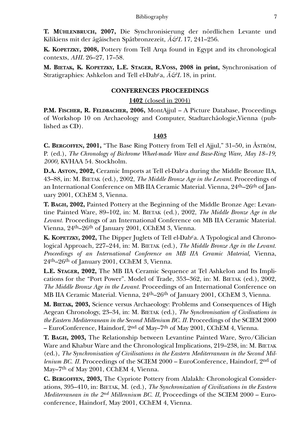**T. MÜHLENBRUCH, 2007,** Die Synchronisierung der nördlichen Levante und Kilikiens mit der ägäischen Spätbronzezeit, *Ä&L* 17, 241–256.

**K. KOPETZKY, 2008,** Pottery from Tell Arqa found in Egypt and its chronological contexts, *AHL* 26–27, 17–58.

**M. BIETAK, K. KOPETZKY, L.E. STAGER, R.VOSS, 2008 in print,** Synchronisation of Stratigraphies: Ashkelon and Tell el-Dabca, *Ä&L* 18, in print.

### **CONFERENCES PROCEEDINGS**

### **1402** (closed in 2004)

**P.M. FISCHER, R. FELDBACHER, 2006,** MontAjjul – A Picture Database, Proceedings of Workshop 10 on Archaeology and Computer, Stadtarchäologie,Vienna (published as CD).

### **1403**

**C. BERGOFFEN, 2001,** "The Base Ring Pottery from Tell el Ajjul," 31–50, in ÅSTRÖM, P. (ed.), *The Chronology of Bichrome Wheel-made Ware and Base-Ring Ware, May 18–19, 2000,* KVHAA 54*.* Stockholm.

**D.A. ASTON, 2002,** Ceramic Imports at Tell el-Dabca during the Middle Bronze IIA, 43–88, in: M. BIETAK (ed.), 2002, *The Middle Bronze Age in the Levant.* Proceedings of an International Conference on MB IIA Ceramic Material. Vienna, 24th–26th of January 2001, CChEM 3, Vienna.

**T. BAGH, 2002,** Painted Pottery at the Beginning of the Middle Bronze Age: Levantine Painted Ware, 89–102, in: M. BIETAK (ed.), 2002, *The Middle Bronze Age in the Levant.* Proceedings of an International Conference on MB IIA Ceramic Material. Vienna, 24th–26th of January 2001, CChEM 3, Vienna.

**K. KOPETZKY, 2002,** The Dipper Juglets of Tell el-Dabca. A Typological and Chronological Approach, 227–244, in: M. BIETAK (ed.), *The Middle Bronze Age in the Levant. Proceedings of an International Conference on MB IIA Ceramic Material,* Vienna, 24th–26th of January 2001, CChEM 3, Vienna.

**L.E. STAGER, 2002,** The MB IIA Ceramic Sequence at Tel Ashkelon and Its Implications for the "Port Power". Model of Trade, 353–362, in: M. BIETAK (ed.), 2002, *The Middle Bronze Age in the Levant.* Proceedings of an International Conference on MB IIA Ceramic Material. Vienna, 24th–26th of January 2001, CChEM 3, Vienna.

**M. BIETAK, 2003,** Science versus Archaeology: Problems and Consequences of High Aegean Chronology, 23–34, in: M. BIETAK (ed.), *The Synchronisation of Civilisations in the Eastern Mediterranean in the Second Millenium BC. II.* Proceedings of the SCIEM 2000 – EuroConference, Haindorf, 2nd of May–7th of May 2001, CChEM 4, Vienna.

**T. BAGH, 2003,** The Relationship between Levantine Painted Ware, Syro/Cilician Ware and Khabur Ware and the Chronological Implications, 219–238, in: M. BIETAK (ed.), *The Synchronisation of Civilisations in the Eastern Mediterranean in the Second Millenium BC. II.* Proceedings of the SCIEM 2000 – EuroConference, Haindorf, 2<sup>nd</sup> of May–7<sup>th</sup> of May 2001, CChEM 4, Vienna.

**C. BERGOFFEN, 2003,** The Cypriote Pottery from Alalakh: Chronological Considerations, 395–410, in: BIETAK, M. (ed.), *The Synchronization of Civilizations in the Eastern Mediterranean in the 2nd Millennium BC. II*, Proceedings of the SCIEM 2000 – Euroconference, Haindorf, May 2001, CChEM 4, Vienna.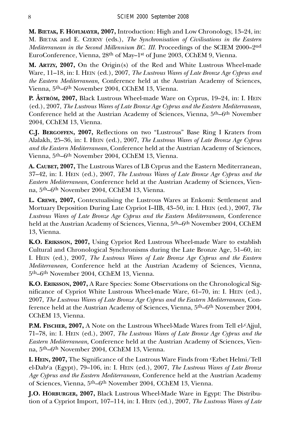**M. BIETAK, F. HÖFLMAYER, 2007,** Introduction: High and Low Chronology, 13–24, in: M. BIETAK and E. CZERNY (eds.), *The Synchronisation of Civilisations in the Eastern Mediterranean in the Second Millennium BC. III.* Proceedings of the SCIEM 2000–2nd EuroConference, Vienna, 28th of May–1st of June 2003, CChEM 9, Vienna.

**M. ARTZY, 2007,** On the Origin(s) of the Red and White Lustrous Wheel-made Ware, 11–18, in: I. HEIN (ed.), 2007, *The Lustrous Wares of Late Bronze Age Cyprus and the Eastern Mediterranean,* Conference held at the Austrian Academy of Sciences, Vienna, 5th–6th November 2004, CChEM 13, Vienna.

**P. ÅSTRÖM, 2007,** Black Lustrous Wheel-made Ware on Cyprus, 19–24, in: I. HEIN (ed.), 2007, *The Lustrous Wares of Late Bronze Age Cyprus and the Eastern Mediterranean,* Conference held at the Austrian Academy of Sciences, Vienna, 5th–6th November 2004, CChEM 13, Vienna.

**C.J. BERGOFFEN, 2007,** Reflections on two "Lustrous" Base Ring I Kraters from Alalakh, 25–36, in: I. HEIN (ed.), 2007, *The Lustrous Wares of Late Bronze Age Cyprus and the Eastern Mediterranean,* Conference held at the Austrian Academy of Sciences, Vienna, 5th–6th November 2004, CChEM 13, Vienna.

**A. CAUBET, 2007,** The Lustrous Wares of LB Cyprus and the Eastern Mediterranean, 37–42, in: I. HEIN (ed.), 2007, *The Lustrous Wares of Late Bronze Age Cyprus and the Eastern Mediterranean,* Conference held at the Austrian Academy of Sciences, Vienna, 5th–6th November 2004, CChEM 13, Vienna.

**L. CREWE, 2007,** Contextualising the Lustrous Wares at Enkomi: Settlement and Mortuary Deposition During Late Cypriot I–IIB, 43–50, in: I. HEIN (ed.), 2007, *The Lustrous Wares of Late Bronze Age Cyprus and the Eastern Mediterranean,* Conference held at the Austrian Academy of Sciences, Vienna, 5th–6th November 2004, CChEM 13, Vienna.

**K.O. ERIKSSON, 2007,** Using Cypriot Red Lustrous Wheel-made Ware to establish Cultural and Chronological Synchronisms during the Late Bronze Age, 51–60, in: I. HEIN (ed.), 2007, *The Lustrous Wares of Late Bronze Age Cyprus and the Eastern Mediterranean,* Conference held at the Austrian Academy of Sciences, Vienna, 5th–6th November 2004, CChEM 13, Vienna.

**K.O. ERIKSSON, 2007,** A Rare Species: Some Observations on the Chronological Significance of Cypriot White Lustrous Wheel-made Ware, 61–70, in: I. HEIN (ed.), 2007, *The Lustrous Wares of Late Bronze Age Cyprus and the Eastern Mediterranean,* Conference held at the Austrian Academy of Sciences, Vienna, 5th–6th November 2004, CChEM 13, Vienna.

**P.M. FISCHER, 2007,** A Note on the Lustrous Wheel-Made Wares from Tell el-<sup>c</sup>Ajjul, 71–78, in: I. HEIN (ed.), 2007, *The Lustrous Wares of Late Bronze Age Cyprus and the Eastern Mediterranean,* Conference held at the Austrian Academy of Sciences, Vienna, 5th–6th November 2004, CChEM 13, Vienna.

**I. HEIN, 2007,** The Significance of the Lustrous Ware Finds from cEzbet Helmi/Tell el-Dabca (Egypt), 79–106, in: I. HEIN (ed.), 2007, *The Lustrous Wares of Late Bronze Age Cyprus and the Eastern Mediterranean,* Conference held at the Austrian Academy of Sciences, Vienna, 5th–6th November 2004, CChEM 13, Vienna.

**J.O. HÖRBURGER, 2007,** Black Lustrous Wheel-Made Ware in Egypt: The Distribution of a Cypriot Import, 107–114, in: I. HEIN (ed.), 2007, *The Lustrous Wares of Late*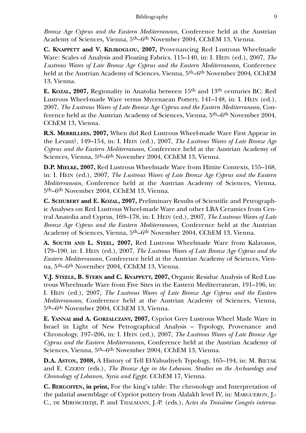*Bronze Age Cyprus and the Eastern Mediterranean,* Conference held at the Austrian Academy of Sciences, Vienna, 5th–6th November 2004, CChEM 13, Vienna.

**C. KNAPPETT and V. KILIKOGLOU, 2007,** Provenancing Red Lustrous Wheelmade Ware: Scales of Analysis and Floating Fabrics, 115–140, in: I. HEIN (ed.), 2007, *The Lustrous Wares of Late Bronze Age Cyprus and the Eastern Mediterranean,* Conference held at the Austrian Academy of Sciences, Vienna, 5th–6th November 2004, CChEM 13, Vienna.

**E. KOZAL, 2007,** Regionality in Anatolia between 15th and 13th centuries BC: Red Lustrous Wheel-made Ware versus Mycenaean Pottery, 141–148, in: I. HEIN (ed.), 2007, *The Lustrous Wares of Late Bronze Age Cyprus and the Eastern Mediterranean,* Conference held at the Austrian Academy of Sciences, Vienna, 5th–6th November 2004, CChEM 13, Vienna.

**R.S. MERRILLEES, 2007,** When did Red Lustrous Wheel-made Ware First Appear in the Levant?, 149–154, in: I. HEIN (ed.), 2007, *The Lustrous Wares of Late Bronze Age Cyprus and the Eastern Mediterranean,* Conference held at the Austrian Academy of Sciences, Vienna, 5<sup>th</sup>–6<sup>th</sup> November 2004, CChEM 13, Vienna.

**D.P. MIELKE, 2007,** Red Lustrous Wheelmade Ware from Hittite Contexts, 155–168, in: I. HEIN (ed.), 2007, *The Lustrous Wares of Late Bronze Age Cyprus and the Eastern Mediterranean,* Conference held at the Austrian Academy of Sciences, Vienna, 5th–6th November 2004, CChEM 13, Vienna.

**C. SCHUBERT and E. KOZAL, 2007,** Preliminary Results of Scientific and Petrographic Analyses on Red Lustrous Wheel-made Ware and other LBA Ceramics from Central Anatolia and Cyprus, 169–178, in: I. HEIN (ed.), 2007, *The Lustrous Wares of Late Bronze Age Cyprus and the Eastern Mediterranean,* Conference held at the Austrian Academy of Sciences, Vienna, 5th–6th November 2004, CChEM 13, Vienna.

**A. SOUTH AND L. STEEL, 2007,** Red Lustrous Wheelmade Ware from Kalavasos, 179–190, in: I. HEIN (ed.), 2007, *The Lustrous Wares of Late Bronze Age Cyprus and the Eastern Mediterranean,* Conference held at the Austrian Academy of Sciences, Vienna, 5th–6th November 2004, CChEM 13, Vienna.

**V.J. STEELE, B. STERN and C. KNAPPETT, 2007,** Organic Residue Analysis of Red Lustrous Wheelmade Ware from Five Sites in the Eastern Mediterranean, 191–196, in: I. HEIN (ed.), 2007, *The Lustrous Wares of Late Bronze Age Cyprus and the Eastern Mediterranean,* Conference held at the Austrian Academy of Sciences, Vienna, 5th–6th November 2004, CChEM 13, Vienna.

**E. YANNAI and A. GORZALCZANY, 2007,** Cypriot Grey Lustrous Wheel Made Ware in Israel in Light of New Petrographical Analysis – Typology, Provenance and Chronology, 197–206, in: I. HEIN (ed.), 2007, *The Lustrous Wares of Late Bronze Age Cyprus and the Eastern Mediterranean,* Conference held at the Austrian Academy of Sciences, Vienna, 5<sup>th</sup>–6<sup>th</sup> November 2004, CChEM 13, Vienna.

**D.A. ASTON, 2008,** A History of Tell El-Yahudiyeh Typology, 165–194, in: M. BIETAK and E. CZERNY (eds.), *The Bronze Age in the Lebanon. Studies on the Archaeology and Chronology of Lebanon, Syria and Egypt.* CChEM 17, Vienna.

**C. BERGOFFEN, in print,** For the king's table: The chronology and Interpretation of the palatial assemblage of Cypriot pottery from Alalakh level IV, in: MARGUERON, J.- C., DE MIROSCHEDJI, P. and THALMANN, J.-P. (eds.), A*ctes du Troisième Congrès interna-*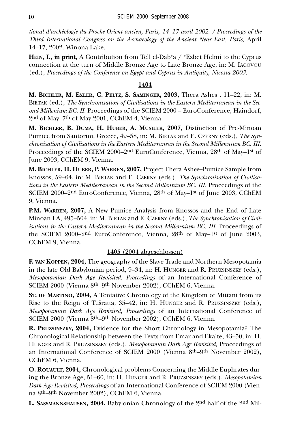*tional d'archéologie du Proche-Orient ancien, Paris, 14–17 avril 2002. / Proceedings of the Third International Congress on the Archaeology of the Ancient Near East, Paris,* April 14–17, 2002. Winona Lake.

**HEIN, I., in print,** A Contribution from Tell el-Dab<sup>c</sup>a /  $c$ Ezbet Helmi to the Cyprus connection at the turn of Middle Bronze Age to Late Bronze Age, in: M. IACOVOU (ed.), *Proceedings of the Conference on Egypt and Cyprus in Antiquity, Nicosia 2003.*

# **1404**

**M. BICHLER, M. EXLER, C. PELTZ, S. SAMINGER, 2003,** Thera Ashes , 11–22, in: M. BIETAK (ed.), *The Synchronisation of Civilisations in the Eastern Mediterranean in the Second Millenium BC. II.* Proceedings of the SCIEM 2000 – EuroConference, Haindorf, 2nd of May–7th of May 2001, CChEM 4, Vienna.

**M. BICHLER, B. DUMA, H. HUBER, A. MUSILEK, 2007,** Distinction of Pre-Minoan Pumice from Santorini, Greece, 49–58, in: M. BIETAK and E. CZERNY (eds.), *The Synchronisation of Civilisations in the Eastern Mediterranean in the Second Millennium BC. III.* Proceedings of the SCIEM 2000–2nd EuroConference, Vienna, 28th of May–1st of June 2003, CChEM 9, Vienna.

**M. BICHLER, H. HUBER, P. WARREN, 2007,** Project Thera Ashes–Pumice Sample from Knossos, 59–64, in: M. BIETAK and E. CZERNY (eds.), *The Synchronisation of Civilisations in the Eastern Mediterranean in the Second Millennium BC. III.* Proceedings of the SCIEM 2000–2nd EuroConference, Vienna, 28th of May–1st of June 2003, CChEM 9, Vienna.

**P.M. WARREN, 2007,** A New Pumice Analysis from Knossos and the End of Late Minoan I A, 495–504, in: M. BIETAK and E. CZERNY (eds.), *The Synchronisation of Civilisations in the Eastern Mediterranean in the Second Millennium BC. III.* Proceedings of the SCIEM 2000–2nd EuroConference, Vienna, 28th of May–1st of June 2003, CChEM 9, Vienna.

# **1405** (2004 abgeschlossen)

**F. VAN KOPPEN, 2004,** The geography of the Slave Trade and Northern Mesopotamia in the late Old Babylonian period, 9–34, in: H. HUNGER and R. PRUZSINSZKY (eds.), *Mesopotamian Dark Age Revisited, Proceedings* of an International Conference of SCIEM 2000 (Vienna 8th–9th November 2002), CChEM 6, Vienna.

**ST. DE MARTINO, 2004,** A Tentative Chronology of the Kingdom of Mittani from its Rise to the Reign of Tušratta, 35–42, in: H. HUNGER and R. PRUZSINSZKY (eds.), *Mesopotamian Dark Age Revisited, Proceedings* of an International Conference of SCIEM 2000 (Vienna 8th–9th November 2002), CChEM 6, Vienna.

**R. PRUZSINSZKY, 2004,** Evidence for the Short Chronology in Mesopotamia? The Chronological Relationship between the Texts from Emar and Ekalte, 43–50, in: H. HUNGER and R. PRUZSINSZKY (eds.), *Mesopotamian Dark Age Revisited,* Proceedings of an International Conference of SCIEM 2000 (Vienna 8th–9th November 2002), CChEM 6, Vienna.

**O. ROUAULT, 2004,** Chronological problems Concerning the Middle Euphrates during the Bronze Age, 51–60, in: H. HUNGER and R. PRUZSINSZKY (eds.), *Mesopotamian Dark Age Revisited, Proceedings* of an International Conference of SCIEM 2000 (Vienna 8th–9th November 2002), CChEM 6, Vienna.

**L. SASSMANNSHAUSEN, 2004,** Babylonian Chronology of the 2nd half of the 2nd Mil-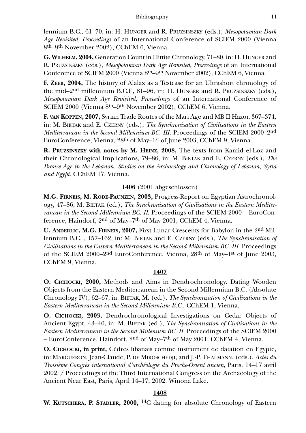lennium B.C., 61–70, in: H. HUNGER and R. PRUZSINSZKY (eds.), *Mesopotamian Dark Age Revisited, Proceedings* of an International Conference of SCIEM 2000 (Vienna 8th–9th November 2002), CChEM 6, Vienna.

**G. WILHELM, 2004,** Generation Count in Hittite Chronology, 71–80, in: H. HUNGER and R. PRUZSINSZKY (eds.), *Mesopotamian Dark Age Revisited, Proceedings* of an International Conference of SCIEM 2000 (Vienna 8th–9th November 2002), CChEM 6, Vienna.

**F. ZEEB, 2004,** The history of Alalax as a Testcase for an Ultrashort chronology of the mid–2nd millennium B.C.E, 81–96, in: H. HUNGER and R. PRUZSINSZKY (eds.), *Mesopotamian Dark Age Revisited, Proceedings* of an International Conference of SCIEM 2000 (Vienna 8th–9th November 2002), CChEM 6, Vienna.

**F. VAN KOPPEN, 2007,** Syrian Trade Routes of the Mari Age and MB II Hazor, 367–374, in: M. BIETAK and E. CZERNY (eds.), *The Synchronisation of Civilisations in the Eastern Mediterranean in the Second Millennium BC. III.* Proceedings of the SCIEM 2000–2nd EuroConference, Vienna, 28th of May–1st of June 2003, CChEM 9, Vienna.

**R. PRUZSINSZKY with notes by M. HEINZ, 2008,** The texts from Kamid el-Loz and their Chronological Implications, 79–86, in: M. BIETAK and E. CZERNY (eds.), *The Bronze Age in the Lebanon. Studies on the Archaeology and Chronology of Lebanon, Syria and Egypt.* CChEM 17, Vienna.

# **1406** (2001 abgeschlossen)

**M.G. FIRNEIS, M. RODE-PAUNZEN, 2003,** Progress-Report on Egyptian Astrochronology, 47–86, M. BIETAK (ed.), *The Synchronisation of Civilisations in the Eastern Mediterranean in the Second Millennium BC. II*. Proceedings of the SCIEM 2000 – EuroConference, Haindorf, 2nd of May–7th of May 2001, CChEM 4, Vienna.

**U. ANDERLIC, M.G. FIRNEIS, 2007,** First Lunar Crescents for Babylon in the 2nd Millennium B.C. , 157–162, in: M. BIETAK and E. CZERNY (eds.), *The Synchronisation of Civilisations in the Eastern Mediterranean in the Second Millennium BC. III.* Proceedings of the SCIEM 2000–2nd EuroConference, Vienna, 28th of May–1st of June 2003, CChEM 9, Vienna.

## **1407**

**O. CICHOCKI, 2000,** Methods and Aims in Dendrochronology. Dating Wooden Objects from the Eastern Mediterranean in the Second Millennium B.C. (Absolute Chronology IV), 62–67, in: BIETAK, M. (ed.), *The Synchronization of Civilizations in the Eastern Mediterranean in the Second Millennium B.C.*, CChEM 1, Vienna.

**O. CICHOCKI, 2003,** Dendrochronological Investigations on Cedar Objects of Ancient Egypt, 43–46, in: M. BIETAK (ed.), *The Synchronisation of Civilisations in the Eastern Mediterranean in the Second Millenium BC. II.* Proceedings of the SCIEM 2000 – EuroConference, Haindorf, 2nd of May–7th of May 2001, CChEM 4, Vienna.

**O. CICHOCKI, in print,** Cèdres libanais comme instrument de datation en Egypte, in: MARGUERON, Jean-Claude, P. DE MIROSCHEDJI, and J.-P. THALMANN, (eds.), *Actes du Troisième Congrès international d'archéologie du Proche-Orient ancien*, Paris, 14*–*17 avril 2002. / Proceedings of the Third International Congress on the Archaeology of the Ancient Near East, Paris, April 14–17, 2002. Winona Lake.

### **1408**

**W. KUTSCHERA, P. STADLER, 2000,** 14C dating for absolute Chronology of Eastern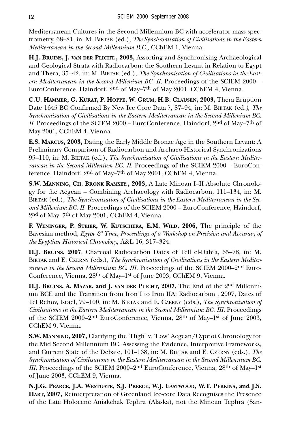Mediterranean Cultures in the Second Millennium BC with accelerator mass spectrometry, 68–81, in: M. BIETAK (ed.), *The Synchronisation of Civilisations in the Eastern Mediterranean in the Second Millennium B.C.,* CChEM 1, Vienna.

**H.J. BRUINS, J. VAN DER PLICHT., 2003,** Assorting and Synchronising Archaeological and Geological Strata with Radiocarbon: the Southern Levant in Relation to Egypt and Thera, 35–42, in: M. BIETAK (ed*.*), *The Synchronisation of Civilisations in the Eastern Mediterranean in the Second Millenium BC. II.* Proceedings of the SCIEM 2000 – EuroConference, Haindorf, 2nd of May–7th of May 2001, CChEM 4, Vienna.

**C.U. HAMMER, G. KURAT, P. HOPPE, W. GRUM, H.B. CLAUSEN, 2003,** Thera Eruption Date 1645 BC Confirmed By New Ice Core Data ?, 87–94, in: M. BIETAK (ed*.), The Synchronisation of Civilisations in the Eastern Mediterranean in the Second Millenium BC. II.* Proceedings of the SCIEM 2000 – EuroConference, Haindorf, 2nd of May–7th of May 2001, CChEM 4, Vienna.

**E.S. MARCUS, 2003,** Dating the Early Middle Bronze Age in the Southern Levant: A Preliminary Comparison of Radiocarbon and Archaeo-Historical Synchronizations 95–110, in: M. BIETAK (ed.), *The Synchronisation of Civilisations in the Eastern Mediterranean in the Second Millenium BC. II.* Proceedings of the SCIEM 2000 – EuroConference, Haindorf, 2nd of May–7th of May 2001, CChEM 4, Vienna.

**S.W. MANNING, CH. BRONK RAMSEY., 2003,** A Late Minoan I–II Absolute Chronology for the Aegean – Combining Archaeology with Radiocarbon, 111–134, in: M. BIETAK (ed.), *The Synchronisation of Civilisations in the Eastern Mediterranean in the Second Millenium BC. II.* Proceedings of the SCIEM 2000 – EuroConference, Haindorf, 2nd of May–7th of May 2001, CChEM 4, Vienna.

**F. WENINGER, P. STEIER, W. KUTSCHERA, E.M. WILD, 2006,** The principle of the Bayesian method, *Egypt & Time, Proceedings of a Workshop on Precision and Accuracy of the Egyptian Historical Chronology,* Ä&L 16, 317–324.

**H.J. BRUINS, 2007**, Charcoal Radiocarbon Dates of Tell el-Dabca, 65–78, in: M. BIETAK and E. CZERNY (eds.), *The Synchronisation of Civilisations in the Eastern Mediterranean in the Second Millennium BC. III.* Proceedings of the SCIEM 2000–2<sup>nd</sup> Euro-Conference, Vienna, 28th of May–1st of June 2003, CChEM 9, Vienna.

**H.J. BRUINS, A. MAZAR, and J. VAN DER PLICHT, 2007,** The End of the 2nd Millennium BCE and the Transition from Iron I to Iron IIA: Radiocarbon , 2007, Dates of Tel Rehov, Israel, 79–100, in: M. BIETAK and E. CZERNY (eds.), *The Synchronisation of Civilisations in the Eastern Mediterranean in the Second Millennium BC. III.* Proceedings of the SCIEM 2000–2nd EuroConference, Vienna, 28th of May–1st of June 2003, CChEM 9, Vienna.

**S.W. MANNING, 2007,** Clarifying the 'High' v. 'Low' Aegean/Cypriot Chronology for the Mid Second Millennium BC. Assessing the Evidence, Interpretive Frameworks, and Current State of the Debate, 101–138, in: M. BIETAK and E. CZERNY (eds.), *The Synchronisation of Civilisations in the Eastern Mediterranean in the Second Millennium BC. III.* Proceedings of the SCIEM 2000–2<sup>nd</sup> EuroConference, Vienna, 28<sup>th</sup> of May–1<sup>st</sup> of June 2003, CChEM 9, Vienna.

**N.J.G. PEARCE, J.A. WESTGATE, S.J. PREECE, W.J. EASTWOOD, W.T. PERKINS, and J.S. HART, 2007,** Reinterpretation of Greenland Ice-core Data Recognises the Presence of the Late Holocene Aniakchak Tephra (Alaska), not the Minoan Tephra (San-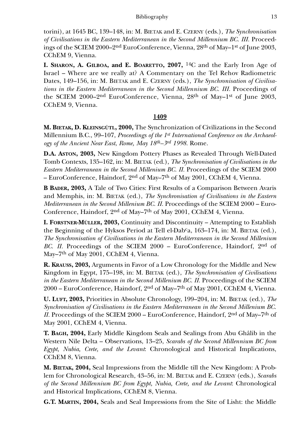#### Bibliography 13

torini), at 1645 BC, 139–148, in: M. BIETAK and E. CZERNY (eds.), *The Synchronisation of Civilisations in the Eastern Mediterranean in the Second Millennium BC. III.* Proceedings of the SCIEM 2000–2<sup>nd</sup> EuroConference, Vienna, 28<sup>th</sup> of May–1<sup>st</sup> of June 2003, CChEM 9, Vienna.

**I. SHARON, A. GILBOA, and E. BOARETTO, 2007,** 14C and the Early Iron Age of Israel – Where are we really at? A Commentary on the Tel Rehov Radiometric Dates, 149–156, in: M. BIETAK and E. CZERNY (eds.), *The Synchronisation of Civilisations in the Eastern Mediterranean in the Second Millennium BC. III.* Proceedings of the SCIEM 2000–2nd EuroConference, Vienna, 28th of May–1st of June 2003, CChEM 9, Vienna.

### **1409**

**M. BIETAK, D. KLEINSGÜTL, 2000,** The Synchronization of Civilizations in the Second Millennium B.C., 99–107, *Proceedings of the 1st International Conference on the Archaeology of the Ancient Near East*, *Rome, May 18th–3rd 1998.* Rome.

**D.A. ASTON, 2003,** New Kingdom Pottery Phases as Revealed Through Well-Dated Tomb Contexts, 135–162, in: M. BIETAK (ed.), *The Synchronisation of Civilisations in the Eastern Mediterranean in the Second Millenium BC. II.* Proceedings of the SCIEM 2000 – EuroConference, Haindorf, 2nd of May–7th of May 2001, CChEM 4, Vienna.

**B BADER, 2003,** A Tale of Two Cities: First Results of a Comparison Between Avaris and Memphis, in: M. BIETAK (ed.), *The Synchronisation of Civilisations in the Eastern Mediterranean in the Second Millenium BC. II.* Proceedings of the SCIEM 2000 – Euro-Conference, Haindorf, 2<sup>nd</sup> of May–7<sup>th</sup> of May 2001, CChEM 4, Vienna.

**I. FORSTNER-MÜLLER, 2003,** Continuity and Discontinuity – Attempting to Establish the Beginning of the Hyksos Period at Tell el-Dab<sup>c</sup>a, 163–174, in: M. BIETAK (ed.), *The Synchronisation of Civilisations in the Eastern Mediterranean in the Second Millenium BC. II.* Proceedings of the SCIEM 2000 – EuroConference, Haindorf, 2<sup>nd</sup> of May–7<sup>th</sup> of May 2001, CChEM 4, Vienna.

**R. KRAUSS, 2003,** Arguments in Favor of a Low Chronology for the Middle and New Kingdom in Egypt, 175–198, in: M. BIETAK (ed.), *The Synchronisation of Civilisations in the Eastern Mediterranean in the Second Millenium BC. II.* Proceedings of the SCIEM 2000 – EuroConference, Haindorf, 2nd of May–7th of May 2001, CChEM 4, Vienna.

**U. LUFT, 2003,** Priorities in Absolute Chronology, 199–204, in: M. BIETAK (ed.), *The Synchronisation of Civilisations in the Eastern Mediterranean in the Second Millenium BC. II.* Proceedings of the SCIEM 2000 – EuroConference, Haindorf, 2<sup>nd</sup> of May–7<sup>th</sup> of May 2001, CChEM 4, Vienna.

**T. BAGH, 2004,** Early Middle Kingdom Seals and Sealings from Abu Ghâlib in the Western Nile Delta – Observations, 13–25, *Scarabs of the Second Millennium BC from Egypt, Nubia, Crete, and the Levant*: Chronological and Historical Implications, CChEM 8, Vienna.

**M. BIETAK, 2004,** Seal Impressions from the Middle till the New Kingdom: A Problem for Chronological Research, 43–56, in: M. BIETAK and E. CZERNY (eds.), *Scarabs of the Second Millennium BC from Egypt, Nubia, Crete, and the Levant*: Chronological and Historical Implications, CChEM 8, Vienna.

**G.T. MARTIN, 2004,** Seals and Seal Impressions from the Site of Lisht: the Middle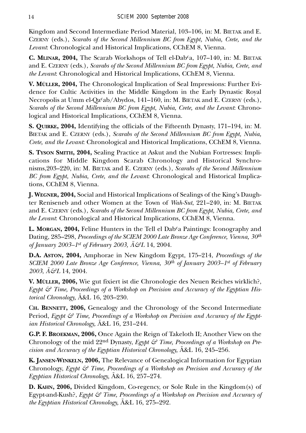Kingdom and Second Intermediate Period Material, 103–106, in: M. BIETAK and E. CZERNY (eds.), *Scarabs of the Second Millennium BC from Egypt, Nubia, Crete, and the Levant*: Chronological and Historical Implications, CChEM 8, Vienna.

**C. MLINAR, 2004,** The Scarab Workshops of Tell el-Dabca, 107–140, in: M. BIETAK and E. CZERNY (eds.), *Scarabs of the Second Millennium BC from Egypt, Nubia, Crete, and the Levant*: Chronological and Historical Implications, CChEM 8, Vienna.

**V. MÜLLER, 2004,** The Chronological Implication of Seal Impressions: Further Evidence for Cultic Activities in the Middle Kingdom in the Early Dynastic Royal Necropolis at Umm el-Qa<sup>c</sup>ab/Abydos, 141-160, in: M. BIETAK and E. CZERNY (eds.), *Scarabs of the Second Millennium BC from Egypt, Nubia, Crete, and the Levant*: Chronological and Historical Implications, CChEM 8, Vienna.

**S. QUIRKE, 2004,** Identifying the officials of the Fifteenth Dynasty, 171–194, in: M. BIETAK and E. CZERNY (eds.), *Scarabs of the Second Millennium BC from Egypt, Nubia, Crete, and the Levant*: Chronological and Historical Implications, CChEM 8, Vienna.

**S. TYSON SMITH, 2004,** Sealing Practice at Askut and the Nubian Fortresses: Implications for Middle Kingdom Scarab Chronology and Historical Synchronisms,203–220, in: M. BIETAK and E. CZERNY (eds.), *Scarabs of the Second Millennium BC from Egypt, Nubia, Crete, and the Levant*: Chronological and Historical Implications, CChEM 8, Vienna.

**J. WEGNER, 2004,** Social and Historical Implications of Sealings of the King's Daughter Reniseneb and other Women at the Town of *Wah-Sut*, 221–240, in: M. BIETAK and E. CZERNY (eds.), *Scarabs of the Second Millennium BC from Egypt, Nubia, Crete, and the Levant*: Chronological and Historical Implications, CChEM 8, Vienna.

L. MORGAN, 2004, Feline Hunters in the Tell el Dab<sup>c</sup>a Paintings: Iconography and Dating, 285–298, *Proceedings of the SCIEM 2000 Late Bronze Age Conference, Vienna, 30th of January 2003–1st of February 2003, Ä&L* 14, 2004.

**D.A. ASTON, 2004,** Amphorae in New Kingdom Egypt, 175–214, *Proceedings of the SCIEM 2000 Late Bronze Age Conference, Vienna, 30th of January 2003–1st of February 2003*, *Ä&L* 14, 2004.

**V. MÜLLER, 2006,** Wie gut fixiert ist die Chronologie des Neuen Reiches wirklich?, *Egypt & Time, Proceedings of a Workshop on Precision and Accuracy of the Egyptian Historical Chronology,* Ä&L 16, 203–230.

C**H. BENNETT, 2006,** Genealogy and the Chronology of the Second Intermediate Period, *Egypt & Time, Proceedings of a Workshop on Precision and Accuracy of the Egyptian Historical Chronology,* Ä&L 16, 231–244.

**G.P. F. BROEKMAN, 2006,** Once Again the Reign of Takeloth II; Another View on the Chronology of the mid 22nd Dynasty, *Egypt & Time, Proceedings of a Workshop on Precision and Accuracy of the Egyptian Historical Chronology,* Ä&L 16, 245–256.

**K. JANSEN-WINKELN, 2006,** The Relevance of Genealogical Information for Egyptian Chronology, *Egypt & Time, Proceedings of a Workshop on Precision and Accuracy of the Egyptian Historical Chronology,* Ä&L 16, 257–274.

**D. KAHN, 2006,** Divided Kingdom, Co-regency, or Sole Rule in the Kingdom(s) of Egypt-and-Kush?, *Egypt & Time, Proceedings of a Workshop on Precision and Accuracy of the Egyptian Historical Chronology,* Ä&L 16, 275–292.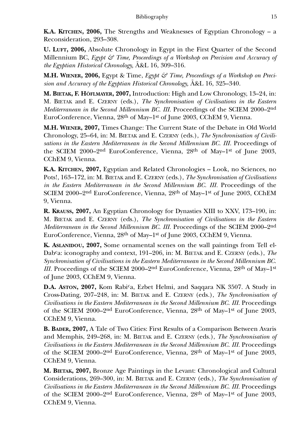**K.A. KITCHEN, 2006,** The Strengths and Weaknesses of Egyptian Chronology – a Reconsideration, 293–308.

**U. LUFT, 2006,** Absolute Chronology in Egypt in the First Quarter of the Second Millennium BC, *Egypt & Time, Proceedings of a Workshop on Precision and Accuracy of the Egyptian Historical Chronology,* Ä&L 16, 309–316.

**M.H. WIENER, 2006,** Egypt & Time, *Egypt & Time, Proceedings of a Workshop on Precision and Accuracy of the Egyptian Historical Chronology,* Ä&L 16, 325–340.

**M. BIETAK, F. HÖFLMAYER, 2007,** Introduction: High and Low Chronology, 13–24, in: M. BIETAK and E. CZERNY (eds.), *The Synchronisation of Civilisations in the Eastern Mediterranean in the Second Millennium BC. III.* Proceedings of the SCIEM 2000–2nd EuroConference, Vienna, 28th of May–1st of June 2003, CChEM 9, Vienna.

**M.H. WIENER, 2007,** Times Change: The Current State of the Debate in Old World Chronology, 25–64, in: M. BIETAK and E. CZERNY (eds.), *The Synchronisation of Civilisations in the Eastern Mediterranean in the Second Millennium BC. III.* Proceedings of the SCIEM 2000–2nd EuroConference, Vienna, 28th of May–1st of June 2003, CChEM 9, Vienna.

**K.A. KITCHEN, 2007,** Egyptian and Related Chronologies – Look, no Sciences, no Pots!, 163–172, in: M. BIETAK and E. CZERNY (eds.), *The Synchronisation of Civilisations in the Eastern Mediterranean in the Second Millennium BC. III.* Proceedings of the SCIEM 2000–2<sup>nd</sup> EuroConference, Vienna, 28<sup>th</sup> of May–1<sup>st</sup> of June 2003, CChEM 9, Vienna.

**R. KRAUSS, 2007,** An Egyptian Chronology for Dynasties XIII to XXV, 173–190, in: M. BIETAK and E. CZERNY (eds.), *The Synchronisation of Civilisations in the Eastern Mediterranean in the Second Millennium BC. III.* Proceedings of the SCIEM 2000–2nd EuroConference, Vienna, 28th of May–1st of June 2003, CChEM 9, Vienna.

**K. ASLANIDOU, 2007,** Some ornamental scenes on the wall paintings from Tell el-Dabca: iconography and context, 191–206, in: M. BIETAK and E. CZERNY (eds.), *The Synchronisation of Civilisations in the Eastern Mediterranean in the Second Millennium BC. III.* Proceedings of the SCIEM 2000–2<sup>nd</sup> EuroConference, Vienna, 28<sup>th</sup> of May–1<sup>st</sup> of June 2003, CChEM 9, Vienna.

**D.A. ASTON, 2007,** Kom Rabica, Ezbet Helmi, and Saqqara NK 3507. A Study in Cross-Dating, 207–248, in: M. BIETAK and E. CZERNY (eds.), *The Synchronisation of Civilisations in the Eastern Mediterranean in the Second Millennium BC. III.* Proceedings of the SCIEM 2000–2nd EuroConference, Vienna, 28th of May–1st of June 2003, CChEM 9, Vienna.

**B. BADER, 2007,** A Tale of Two Cities: First Results of a Comparison Between Avaris and Memphis, 249–268, in: M. BIETAK and E. CZERNY (eds.), *The Synchronisation of Civilisations in the Eastern Mediterranean in the Second Millennium BC. III.* Proceedings of the SCIEM 2000–2nd EuroConference, Vienna, 28th of May–1st of June 2003, CChEM 9, Vienna.

**M. BIETAK, 2007,** Bronze Age Paintings in the Levant: Chronological and Cultural Considerations, 269–300, in: M. BIETAK and E. CZERNY (eds.), *The Synchronisation of Civilisations in the Eastern Mediterranean in the Second Millennium BC. III.* Proceedings of the SCIEM 2000–2nd EuroConference, Vienna, 28th of May–1st of June 2003, CChEM 9, Vienna.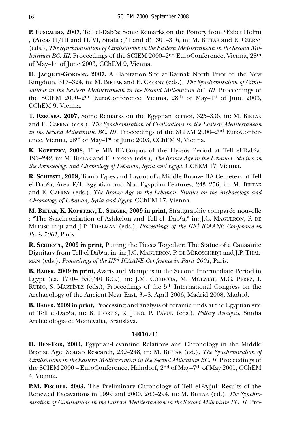P. FUSCALDO, 2007, Tell el-Dab<sup>c</sup>a: Some Remarks on the Pottery from *CE*zbet Helmi , (Areas H/III and H/VI, Strata e/1 and d), 301–316, in: M. BIETAK and E. CZERNY (eds.), *The Synchronisation of Civilisations in the Eastern Mediterranean in the Second Millennium BC. III.* Proceedings of the SCIEM 2000–2<sup>nd</sup> EuroConference, Vienna, 28<sup>th</sup> of May–1st of June 2003, CChEM 9, Vienna.

**H. JACQUET-GORDON, 2007,** A Habitation Site at Karnak North Prior to the New Kingdom, 317–324, in: M. BIETAK and E. CZERNY (eds.), *The Synchronisation of Civilisations in the Eastern Mediterranean in the Second Millennium BC. III.* Proceedings of the SCIEM 2000–2nd EuroConference, Vienna, 28th of May–1st of June 2003, CChEM 9, Vienna.

**T. RZEUSKA, 2007,** Some Remarks on the Egyptian kernoi, 325–336, in: M. BIETAK and E. CZERNY (eds.), *The Synchronisation of Civilisations in the Eastern Mediterranean in the Second Millennium BC. III.* Proceedings of the SCIEM 2000–2<sup>nd</sup> EuroConference, Vienna, 28th of May–1st of June 2003, CChEM 9, Vienna.

**K. KOPETZKY, 2008,** The MB IIB-Corpus of the Hyksos Period at Tell el-Dabca, 195–242, in: M. BIETAK and E. CZERNY (eds.), *The Bronze Age in the Lebanon. Studies on the Archaeology and Chronology of Lebanon, Syria and Egypt.* CChEM 17, Vienna.

**R. SCHIESTL, 2008,** Tomb Types and Layout of a Middle Bronze IIA Cemetery at Tell el-Dabca, Area F/I. Egyptian and Non-Egyptian Features, 243–256, in: M. BIETAK and E. CZERNY (eds.), *The Bronze Age in the Lebanon. Studies on the Archaeology and Chronology of Lebanon, Syria and Egypt.* CChEM 17, Vienna.

**M. BIETAK, K. KOPETZKY, L. STAGER, 2009 in print,** Stratigraphie comparée nouvelle : "The Synchronisation of Ashkelon and Tell el- Dabca," in: J.C. MAGUERON, P. DE MIROSCHEDJI and J.P. THALMAN (eds.), *Proceedings of the IIIrd ICAANE Conference in Paris 2001*, Paris.

**R. SCHIESTL, 2009 in print,** Putting the Pieces Together: The Statue of a Canaanite Dignitary from Tell el-Dab<sup>c</sup>a, in: in: J.C. MAGUERON, P. DE MIROSCHEDJI and J.P. THAL-MAN (eds.), *Proceedings of the IIIrd ICAANE Conference in Paris 2001*, Paris.

**B. BADER, 2009 in print,** Avaris and Memphis in the Second Intermediate Period in Egypt (ca. 1770–1550/40 B.C.), in: J.M. CÓRDOBA, M. MOLWIST, M.C. PÉREZ, I. RUBIO, S. MARTÍNEZ (eds.), Proceedings of the 5th International Congress on the Archaeology of the Ancient Near East, 3.–8. April 2006, Madrid 2008, Madrid.

**B. BADER, 2009 in print,** Processing and analysis of ceramic finds at the Egyptian site of Tell el-Dabca, in: B. HOREJS, R. JUNG, P. PÁVUK (eds.), *Pottery Analysis,* Studia Archaeologia et Medievalia, Bratislava.

## **14010/11**

**D. BEN-TOR, 2003,** Egyptian-Levantine Relations and Chronology in the Middle Bronze Age: Scarab Research, 239–248, in: M. BIETAK (ed.), *The Synchronisation of Civilisations in the Eastern Mediterranean in the Second Millenium BC. II. Proceedings of* the SCIEM 2000 – EuroConference, Haindorf, 2nd of May–7th of May 2001, CChEM 4, Vienna.

**P.M. FISCHER, 2003,** The Preliminary Chronology of Tell el-<sup>c</sup>Ajjul: Results of the Renewed Excavations in 1999 and 2000, 263–294, in: M. BIETAK (ed.), *The Synchronisation of Civilisations in the Eastern Mediterranean in the Second Millenium BC. II.* Pro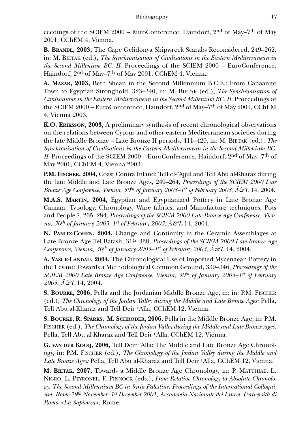ceedings of the SCIEM 2000 – EuroConference, Haindorf, 2nd of May–7th of May 2001, CChEM 4, Vienna.

**B. BRANDL, 2003,** The Cape Gelidonya Shipwreck Scarabs Reconsidered, 249–262, in: M. BIETAK (ed.), *The Synchronisation of Civilisations in the Eastern Mediterranean in the Second Millenium BC. II.* Proceedings of the SCIEM 2000 – EuroConference, Haindorf, 2nd of May–7th of May 2001, CChEM 4, Vienna.

**A. MAZAR, 2003,** Beth Shean in the Second Millennium B.C.E.: From Canaanite Town to Egyptian Stronghold, 323–340, in: M. BIETAK (ed.), *The Synchronisation of Civilisations in the Eastern Mediterranean in the Second Millenium BC. II.* Proceedings of the SCIEM 2000 – EuroConference, Haindorf, 2nd of May–7th of May 2001, CChEM 4, Vienna 2003.

**K.O. ERIKSSON, 2003,** A preliminary synthesis of recent chronological observations on the relations between Cyprus and other eastern Mediterranean societies during the late Middle Bronze – Late Bronze II periods, 411–429, in: M. BIETAK (ed.), *The Synchronisation of Civilisations in the Eastern Mediterranean in the Second Millenium BC. II.* Proceedings of the SCIEM 2000 – EuroConference, Haindorf, 2<sup>nd</sup> of May–7<sup>th</sup> of May 2001, CChEM 4, Vienna 2003.

P.M. FISCHER, 2004, Coast Contra Inland: Tell el-<sup>c</sup>Ajjul and Tell Abu al-Kharaz during the late Middle and Late Bronze Ages, 249–264, *Proceedings of the SCIEM 2000 Late Bronze Age Conference, Vienna, 30th of January 2003–1st of February 2003*, *Ä&L* 14, 2004.

**M.A.S. MARTIN, 2004,** Egyptian and Egyptianized Pottery in Late Bronze Age Canaan. Typology, Chronology, Ware fabrics, and Manufacture techniques. Pots and People ?, 265–284, *Proceedings of the SCIEM 2000 Late Bronze Age Conference, Vienna, 30th of January 2003–1st of February 2003*, *Ä&L* 14, 2004.

**N. PANITZ-COHEN, 2004,** Change and Continuity in the Ceramic Assemblages at Late Bronze Age Tel Batash, 319–338, *Proceedings of the SCIEM 2000 Late Bronze Age Conference, Vienna, 30th of January 2003–1st of February 2003*, *Ä&L* 14, 2004.

**A. YASUR-LANDAU, 2004,** The Chronological Use of Imported Mycenaean Pottery in the Levant: Towards a Methodological Common Ground, 339–346, *Proceedings of the SCIEM 2000 Late Bronze Age Conference, Vienna, 30th of January 2003–1st of February 2003*, *Ä&L* 14, 2004.

**S. BOURKE, 2006,** Pella and the Jordanian Middle Bronze Age, in: in: P.M. FISCHER (ed.), *The Chronology of the Jordan Valley during the Middle and Late Bronze Ages:* Pella, Tell Abu al-Kharaz and Tell Deir cAlla, CChEM 12, Vienna.

**S. BOURKE, R. SPARKS, M. SCHRODER, 2006,** Pella in the Middle Bronze Age, in: P.M. FISCHER (ed.), *The Chronology of the Jordan Valley during the Middle and Late Bronze Ages:* Pella, Tell Abu al-Kharaz and Tell Deir cAlla, CChEM 12, Vienna.

**G. VAN DER KOOIJ, 2006,** Tell Deir cAlla: The Middle and Late Bronze Age Chronology, in: P.M. FISCHER (ed.), *The Chronology of the Jordan Valley during the Middle and Late Bronze Ages:* Pella, Tell Abu al-Kharaz and Tell Deir cAlla, CChEM 12, Vienna.

**M. BIETAK, 2007,** Towards a Middle Bronze Age Chronology, in: P. MATTHIAE, L. NIGRO, L. PEYRONEL, F. PINNOCK (eds.), *From Relative Chronology to Absolute Chronology. The Second Millennium BC in Syria Palestine. Proceedings of the International Colloquium, Rome 29th November–1st December 2001, Accademia Nazionale dei Lincei–Università di Roma <La Sapienza>,* Rome.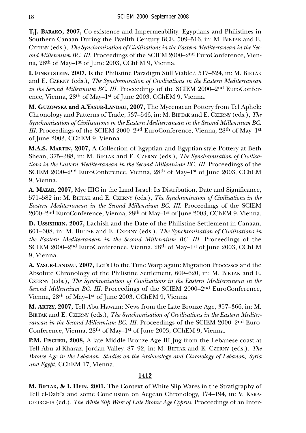**T.J. BARAKO, 2007,** Co-existence and Impermeability: Egyptians and Philistines in Southern Canaan During the Twelfth Century BCE, 509–516, in: M. BIETAK and E. CZERNY (eds.), *The Synchronisation of Civilisations in the Eastern Mediterranean in the Second Millennium BC. III.* Proceedings of the SCIEM 2000–2nd EuroConference, Vienna, 28th of May–1st of June 2003, CChEM 9, Vienna.

**I. FINKELSTEIN, 2007,** Is the Philistine Paradigm Still Viable?, 517–524, in: M. BIETAK and E. CZERNY (eds.), *The Synchronisation of Civilisations in the Eastern Mediterranean in the Second Millennium BC. III.* Proceedings of the SCIEM 2000–2nd EuroConference, Vienna, 28th of May–1st of June 2003, CChEM 9, Vienna.

**M. GUZOWSKA and A.YASUR-LANDAU, 2007,** The Mycenaean Pottery from Tel Aphek: Chronology and Patterns of Trade, 537–546, in: M. BIETAK and E. CZERNY (eds.), *The Synchronisation of Civilisations in the Eastern Mediterranean in the Second Millennium BC. III.* Proceedings of the SCIEM 2000–2<sup>nd</sup> EuroConference, Vienna, 28<sup>th</sup> of May–1<sup>st</sup> of June 2003, CChEM 9, Vienna.

**M.A.S. MARTIN, 2007,** A Collection of Egyptian and Egyptian-style Pottery at Beth Shean, 375–388, in: M. BIETAK and E. CZERNY (eds.), *The Synchronisation of Civilisations in the Eastern Mediterranean in the Second Millennium BC. III.* Proceedings of the SCIEM 2000–2nd EuroConference, Vienna, 28th of May–1st of June 2003, CChEM 9, Vienna.

**A. MAZAR, 2007,** Myc IIIC in the Land Israel: Its Distribution, Date and Significance, 571–582 in: M. BIETAK and E. CZERNY (eds.), *The Synchronisation of Civilisations in the Eastern Mediterranean in the Second Millennium BC. III.* Proceedings of the SCIEM 2000–2nd EuroConference, Vienna, 28th of May–1st of June 2003, CChEM 9, Vienna.

**D. USSISHKIN, 2007,** Lachish and the Date of the Philistine Settlement in Canaan, 601–608, in: M. BIETAK and E. CZERNY (eds.), *The Synchronisation of Civilisations in the Eastern Mediterranean in the Second Millennium BC. III.* Proceedings of the SCIEM 2000–2nd EuroConference, Vienna, 28th of May–1st of June 2003, CChEM 9, Vienna.

**A. YASUR-LANDAU, 2007,** Let's Do the Time Warp again: Migration Processes and the Absolute Chronology of the Philistine Settlement, 609–620, in: M. BIETAK and E. CZERNY (eds.), *The Synchronisation of Civilisations in the Eastern Mediterranean in the Second Millennium BC. III.* Proceedings of the SCIEM 2000–2nd EuroConference, Vienna, 28th of May–1st of June 2003, CChEM 9, Vienna.

**M. ARTZY, 2007,** Tell Abu Hawam: News from the Late Bronze Age, 357–366, in: M. BIETAK and E. CZERNY (eds.), *The Synchronisation of Civilisations in the Eastern Mediterranean in the Second Millennium BC. III.* Proceedings of the SCIEM 2000–2<sup>nd</sup> Euro-Conference, Vienna, 28th of May–1st of June 2003, CChEM 9, Vienna.

**P.M. FISCHER, 2008,** A late Middle Bronze Age III Jug from the Lebanese coast at Tell Abu al-Kharaz, Jordan Valley. 87–92, in: M. BIETAK and E. CZERNY (eds.), *The Bronze Age in the Lebanon. Studies on the Archaeology and Chronology of Lebanon, Syria and Egypt.* CChEM 17, Vienna.

## **1412**

**M. BIETAK, & I. HEIN, 2001,** The Context of White Slip Wares in the Stratigraphy of Tell el-Dab<sup>c</sup>a and some Conclusion on Aegean Chronology, 174–194, in: V. KARA-GEORGHIS (ed.), *The White Slip Ware of Late Bronze Age Cyprus*. Proceedings of an Inter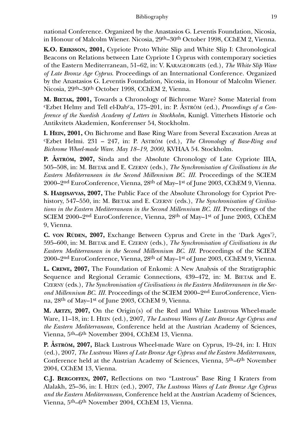national Conference. Organized by the Anastasios G. Leventis Foundation, Nicosia, in Honour of Malcolm Wiener. Nicosia, 29th–30th October 1998, CChEM 2, Vienna.

**K.O. ERIKSSON, 2001,** Cypriote Proto White Slip and White Slip I: Chronological Beacons on Relations between Late Cypriote I Cyprus with contemporary societies of the Eastern Mediterranean, 51–62, in: V. KARAGEORGHIS (ed.), *The White Slip Ware of Late Bronze Age Cyprus*. Proceedings of an International Conference. Organized by the Anastasios G. Leventis Foundation, Nicosia, in Honour of Malcolm Wiener. Nicosia, 29th–30th October 1998, CChEM 2, Vienna.

**M. BIETAK, 2001,** Towards a Chronology of Bichrome Ware? Some Material from cEzbet Helmy and Tell el-Dabca, 175–201, in: P. ÅSTRÖM (ed.), *Proceedings of a Conference of the Swedish Academy of Letters in Stockholm*, Kunigl. Vitterhets Historie och Antikvitets Akademien, Konferenser 54, Stockholm.

**I. HEIN, 2001,** On Bichrome and Base Ring Ware from Several Excavation Areas at cEzbet Helmi. 231 – 247, in: P. ASTRÖM (ed.), *The Chronology of Base-Ring and Bichrome Wheel-made Ware*. *May 18–19, 2000,* KVHAA 54. Stockholm.

**P. ÅSTRÖM, 2007,** Sinda and the Absolute Chronology of Late Cypriote IIIA, 505–508, in: M. BIETAK and E. CZERNY (eds.), *The Synchronisation of Civilisations in the Eastern Mediterranean in the Second Millennium BC. III.* Proceedings of the SCIEM 2000–2nd EuroConference, Vienna, 28th of May–1st of June 2003, CChEM 9, Vienna.

**S. HADJISAVVAS, 2007,** The Public Face of the Absolute Chronology for Cypriot Prehistory, 547–550, in: M. BIETAK and E. CZERNY (eds.), *The Synchronisation of Civilisations in the Eastern Mediterranean in the Second Millennium BC. III.* Proceedings of the SCIEM 2000–2nd EuroConference, Vienna, 28th of May–1st of June 2003, CChEM 9, Vienna.

**C. VON RÜDEN, 2007,** Exchange Between Cyprus and Crete in the 'Dark Ages'?, 595–600, in: M. BIETAK and E. CZERNY (eds.), *The Synchronisation of Civilisations in the Eastern Mediterranean in the Second Millennium BC. III.* Proceedings of the SCIEM 2000–2nd EuroConference, Vienna, 28th of May–1st of June 2003, CChEM 9, Vienna.

**L. CREWE, 2007,** The Foundation of Enkomi: A New Analysis of the Stratigraphic Sequence and Regional Ceramic Connections, 439–472, in: M. BIETAK and E. CZERNY (eds.), *The Synchronisation of Civilisations in the Eastern Mediterranean in the Second Millennium BC. III.* Proceedings of the SCIEM 2000–2nd EuroConference, Vienna, 28th of May–1st of June 2003, CChEM 9, Vienna.

**M. ARTZY, 2007,** On the Origin(s) of the Red and White Lustrous Wheel-made Ware, 11–18, in: I. HEIN (ed.), 2007, *The Lustrous Wares of Late Bronze Age Cyprus and the Eastern Mediterranean,* Conference held at the Austrian Academy of Sciences, Vienna, 5th–6th November 2004, CChEM 13, Vienna.

**P. ÅSTRÖM, 2007,** Black Lustrous Wheel-made Ware on Cyprus, 19–24, in: I. HEIN (ed.), 2007, *The Lustrous Wares of Late Bronze Age Cyprus and the Eastern Mediterranean,* Conference held at the Austrian Academy of Sciences, Vienna, 5th–6th November 2004, CChEM 13, Vienna.

**C.J. BERGOFFEN, 2007,** Reflections on two "Lustrous" Base Ring I Kraters from Alalakh, 25–36, in: I. HEIN (ed.), 2007, *The Lustrous Wares of Late Bronze Age Cyprus and the Eastern Mediterranean,* Conference held at the Austrian Academy of Sciences, Vienna, 5th–6th November 2004, CChEM 13, Vienna.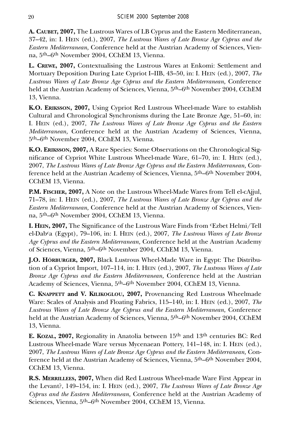**A. CAUBET, 2007,** The Lustrous Wares of LB Cyprus and the Eastern Mediterranean, 37–42, in: I. HEIN (ed.), 2007, *The Lustrous Wares of Late Bronze Age Cyprus and the Eastern Mediterranean,* Conference held at the Austrian Academy of Sciences, Vienna, 5th–6th November 2004, CChEM 13, Vienna.

**L. CREWE, 2007,** Contextualising the Lustrous Wares at Enkomi: Settlement and Mortuary Deposition During Late Cypriot I–IIB, 43–50, in: I. HEIN (ed.), 2007, *The Lustrous Wares of Late Bronze Age Cyprus and the Eastern Mediterranean,* Conference held at the Austrian Academy of Sciences, Vienna, 5th–6th November 2004, CChEM 13, Vienna.

**K.O. ERIKSSON, 2007,** Using Cypriot Red Lustrous Wheel-made Ware to establish Cultural and Chronological Synchronisms during the Late Bronze Age, 51–60, in: I. HEIN (ed.), 2007, *The Lustrous Wares of Late Bronze Age Cyprus and the Eastern Mediterranean,* Conference held at the Austrian Academy of Sciences, Vienna, 5th–6th November 2004, CChEM 13, Vienna.

**K.O. ERIKSSON, 2007,** A Rare Species: Some Observations on the Chronological Significance of Cypriot White Lustrous Wheel-made Ware, 61–70, in: I. HEIN (ed.), 2007, *The Lustrous Wares of Late Bronze Age Cyprus and the Eastern Mediterranean,* Conference held at the Austrian Academy of Sciences, Vienna, 5th–6th November 2004, CChEM 13, Vienna.

**P.M. FISCHER, 2007,** A Note on the Lustrous Wheel-Made Wares from Tell el-cAjjul, 71–78, in: I. HEIN (ed.), 2007, *The Lustrous Wares of Late Bronze Age Cyprus and the Eastern Mediterranean,* Conference held at the Austrian Academy of Sciences, Vienna, 5th–6th November 2004, CChEM 13, Vienna.

**I. HEIN, 2007,** The Significance of the Lustrous Ware Finds from cEzbet Helmi/Tell el-Dabca (Egypt), 79–106, in: I. HEIN (ed.), 2007, *The Lustrous Wares of Late Bronze Age Cyprus and the Eastern Mediterranean,* Conference held at the Austrian Academy of Sciences, Vienna, 5th–6th November 2004, CChEM 13, Vienna.

**J.O. HÖRBURGER, 2007,** Black Lustrous Wheel-Made Ware in Egypt: The Distribution of a Cypriot Import, 107–114, in: I. HEIN (ed.), 2007, *The Lustrous Wares of Late Bronze Age Cyprus and the Eastern Mediterranean,* Conference held at the Austrian Academy of Sciences, Vienna, 5th–6th November 2004, CChEM 13, Vienna.

**C. KNAPPETT and V. KILIKOGLOU, 2007,** Provenancing Red Lustrous Wheelmade Ware: Scales of Analysis and Floating Fabrics, 115–140, in: I. HEIN (ed.), 2007, *The Lustrous Wares of Late Bronze Age Cyprus and the Eastern Mediterranean,* Conference held at the Austrian Academy of Sciences, Vienna, 5th–6th November 2004, CChEM 13, Vienna.

**E. KOZAL, 2007,** Regionality in Anatolia between 15th and 13th centuries BC: Red Lustrous Wheel-made Ware versus Mycenaean Pottery, 141–148, in: I. HEIN (ed.), 2007, *The Lustrous Wares of Late Bronze Age Cyprus and the Eastern Mediterranean,* Conference held at the Austrian Academy of Sciences, Vienna, 5th–6th November 2004, CChEM 13, Vienna.

**R.S. MERRILLEES, 2007,** When did Red Lustrous Wheel-made Ware First Appear in the Levant?, 149–154, in: I. HEIN (ed.), 2007, *The Lustrous Wares of Late Bronze Age Cyprus and the Eastern Mediterranean,* Conference held at the Austrian Academy of Sciences, Vienna, 5th–6th November 2004, CChEM 13, Vienna.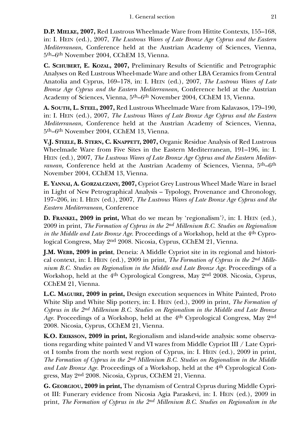**D.P. MIELKE, 2007,** Red Lustrous Wheelmade Ware from Hittite Contexts, 155–168, in: I. HEIN (ed.), 2007, *The Lustrous Wares of Late Bronze Age Cyprus and the Eastern Mediterranean,* Conference held at the Austrian Academy of Sciences, Vienna, 5th–6th November 2004, CChEM 13, Vienna.

**C. SCHUBERT, E. KOZAL, 2007,** Preliminary Results of Scientific and Petrographic Analyses on Red Lustrous Wheel-made Ware and other LBA Ceramics from Central Anatolia and Cyprus, 169–178, in: I. HEIN (ed.), 2007, *The Lustrous Wares of Late Bronze Age Cyprus and the Eastern Mediterranean,* Conference held at the Austrian Academy of Sciences, Vienna, 5th–6th November 2004, CChEM 13, Vienna.

**A. SOUTH, L. STEEL, 2007,** Red Lustrous Wheelmade Ware from Kalavasos, 179–190, in: I. HEIN (ed.), 2007, *The Lustrous Wares of Late Bronze Age Cyprus and the Eastern Mediterranean,* Conference held at the Austrian Academy of Sciences, Vienna, 5th–6th November 2004, CChEM 13, Vienna.

**V.J. STEELE, B. STERN, C. KNAPPETT, 2007,** Organic Residue Analysis of Red Lustrous Wheelmade Ware from Five Sites in the Eastern Mediterranean, 191–196, in: I. HEIN (ed.), 2007, *The Lustrous Wares of Late Bronze Age Cyprus and the Eastern Mediterranean,* Conference held at the Austrian Academy of Sciences, Vienna, 5th–6th November 2004, CChEM 13, Vienna.

**E. YANNAI, A. GORZALCZANY, 2007,** Cypriot Grey Lustrous Wheel Made Ware in Israel in Light of New Petrographical Analysis – Typology, Provenance and Chronology, 197–206, in: I. HEIN (ed.), 2007, *The Lustrous Wares of Late Bronze Age Cyprus and the Eastern Mediterranean,* Conference

**D. FRANKEL, 2009 in print,** What do we mean by 'regionalism'?, in: I. HEIN (ed.), 2009 in print, *The Formation of Cyprus in the 2nd Millenium B.C. Studies on Regionalism in the Middle and Late Bronze Age.* Proceedings of a Workshop, held at the 4th Cyprological Congress, May 2nd 2008. Nicosia, Cyprus, CChEM 21, Vienna.

**J.M. WEBB, 2009 in print**, Deneia: A Middle Cypriot site in its regional and historical context, in: I. HEIN (ed.), 2009 in print, *The Formation of Cyprus in the 2nd Millenium B.C. Studies on Regionalism in the Middle and Late Bronze Age.* Proceedings of a Workshop, held at the 4<sup>th</sup> Cyprological Congress, May 2<sup>nd</sup> 2008. Nicosia, Cyprus, CChEM 21, Vienna.

**L.C. MAGUIRE, 2009 in print,** Design execution sequences in White Painted, Proto White Slip and White Slip pottery, in: I. HEIN (ed.), 2009 in print, *The Formation of Cyprus in the 2nd Millenium B.C. Studies on Regionalism in the Middle and Late Bronze Age.* Proceedings of a Workshop, held at the 4th Cyprological Congress, May 2nd 2008. Nicosia, Cyprus, CChEM 21, Vienna.

**K.O. ERIKSSON, 2009 in print,** Regionalism and island-wide analysis: some observations regarding white painted V and VI wares from Middle Cypriot III / Late Cypriot I tombs from the north west region of Cyprus, in: I. HEIN (ed.), 2009 in print, *The Formation of Cyprus in the 2nd Millenium B.C. Studies on Regionalism in the Middle and Late Bronze Age.* Proceedings of a Workshop, held at the 4th Cyprological Congress, May 2nd 2008. Nicosia, Cyprus, CChEM 21, Vienna.

**G. GEORGIOU, 2009 in print,** The dynamism of Central Cyprus during Middle Cypriot III: Funerary evidence from Nicosia Agia Paraskevi, in: I. HEIN (ed.), 2009 in print, *The Formation of Cyprus in the 2nd Millenium B.C. Studies on Regionalism in the*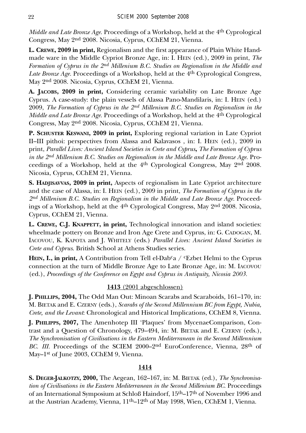*Middle and Late Bronze Age.* Proceedings of a Workshop, held at the 4th Cyprological Congress, May 2nd 2008. Nicosia, Cyprus, CChEM 21, Vienna.

**L. CREWE, 2009 in print,** Regionalism and the first appearance of Plain White Handmade ware in the Middle Cypriot Bronze Age, in: I. HEIN (ed.), 2009 in print, *The Formation of Cyprus in the 2nd Millenium B.C. Studies on Regionalism in the Middle and Late Bronze Age.* Proceedings of a Workshop, held at the 4th Cyprological Congress, May 2nd 2008. Nicosia, Cyprus, CChEM 21, Vienna.

**A. JACOBS, 2009 in print,** Considering ceramic variability on Late Bronze Age Cyprus. A case-study: the plain vessels of Alassa Pano-Mandilaris, in: I. HEIN (ed.) 2009, *The Formation of Cyprus in the 2nd Millenium B.C. Studies on Regionalism in the Middle and Late Bronze Age.* Proceedings of a Workshop, held at the 4th Cyprological Congress, May 2nd 2008. Nicosia, Cyprus, CChEM 21, Vienna.

**P. SCHUSTER KESWANI, 2009 in print,** Exploring regional variation in Late Cypriot II–III pithoi: perspectives from Alassa and Kalavasos , in: I. HEIN (ed.), 2009 in print, *Parallel Lives: Ancient Island Societies in Crete and Cyprus***,** *The Formation of Cyprus in the 2nd Millenium B.C. Studies on Regionalism in the Middle and Late Bronze Age.* Proceedings of a Workshop, held at the 4th Cyprological Congress, May 2nd 2008. Nicosia, Cyprus, CChEM 21, Vienna.

**S. HADJISAVVAS, 2009 in print,** Aspects of regionalism in Late Cypriot architecture and the case of Alassa, in: I. HEIN (ed.), 2009 in print, *The Formation of Cyprus in the 2nd Millenium B.C. Studies on Regionalism in the Middle and Late Bronze Age.* Proceedings of a Workshop, held at the 4th Cyprological Congress, May 2nd 2008. Nicosia, Cyprus, CChEM 21, Vienna.

**L. CREWE, C.J. KNAPPETT, in print,** Technological innovation and island societies: wheelmade pottery on Bronze and Iron Age Crete and Cyprus, in: G. CADOGAN, M. IACOVOU, K. KAPOTA and J. WHITELY (eds.) *Parallel Lives: Ancient Island Societies in Crete and Cyprus*. British School at Athens Studies series.

**HEIN, I., in print,** A Contribution from Tell el-Dab<sup>c</sup>a /  $c$ Ezbet Helmi to the Cyprus connection at the turn of Middle Bronze Age to Late Bronze Age, in: M. IACOVOU (ed.), *Proceedings of the Conference on Egypt and Cyprus in Antiquity, Nicosia 2003.*

# **1413** (2001 abgeschlossen)

**J. PHILLIPS, 2004,** The Odd Man Out: Minoan Scarabs and Scaraboids, 161–170, in: M. BIETAK and E. CZERNY (eds.), *Scarabs of the Second Millennium BC from Egypt, Nubia, Crete, and the Levant*: Chronological and Historical Implications, CChEM 8, Vienna.

**J. PHILIPPS, 2007,** The Amenhotep III 'Plaques' from MycenaeComparison, Contrast and a Question of Chronology, 479–494, in: M. BIETAK and E. CZERNY (eds.), *The Synchronisation of Civilisations in the Eastern Mediterranean in the Second Millennium BC. III.* Proceedings of the SCIEM 2000–2<sup>nd</sup> EuroConference, Vienna, 28<sup>th</sup> of May-1<sup>st</sup> of June 2003, CChEM 9, Vienna.

## **1414**

**S. DEGER-JALKOTZY, 2000,** The Aegean, 162–167, in: M. BIETAK (ed.), *The Synchronisation of Civilisations in the Eastern Mediterranean in the Second Millenium BC.* Proceedings of an International Symposium at Schloß Haindorf, 15th–17th of November 1996 and at the Austrian Academy, Vienna, 11th–12th of May 1998, Wien, CChEM 1, Vienna.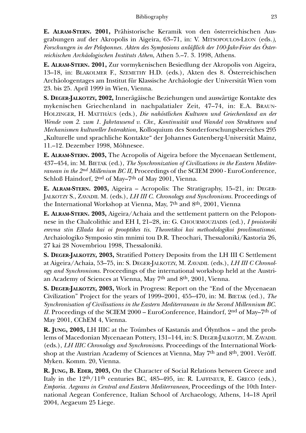**E. ALRAM-STERN. 2001,** Prähistorische Keramik von den österreichischen Ausgrabungen auf der Akropolis in Aigeira, 63–71, in: V. MITSOPOULOS-LEON (eds*.), Forschungen in der Peloponnes. Akten des Symposions anläßlich der 100-Jahr-Feier des Österreichischen Archäologischen Instituts Athen*, Athen 5.–7. 3. 1998, Athens.

**E. ALRAM-STERN. 2001,** Zur vormykenischen Besiedlung der Akropolis von Aigeira, 13–18, in: BLAKOLMER F., SZEMETHY H.D. (eds.), Akten des 8. Österreichischen Archäologentages am Institut für Klassische Archäologie der Universität Wien vom 23. bis 25. April 1999 in Wien, Vienna.

**S. DEGER-JALKOTZY, 2002,** Innerägäische Beziehungen und auswärtige Kontakte des mykenischen Griechenland in nachpalatialer Zeit, 47–74, in: E.A. BRAUN-HOLZINGER, H. MATTHÄUS (eds.), *Die nahöstlichen Kulturen und Griechenland an der Wende vom 2. zum 1. Jahrtausend v. Chr., Kontinuität und Wandel von Strukturen und Mechanismen kultureller Interaktion,* Kolloquium des Sonderforschungsbereiches 295 "Kulturelle und sprachliche Kontakte" der Johannes Gutenberg-Universität Mainz, 11.–12. Dezember 1998, Möhnesee.

**E. ALRAM-STERN. 2003,** The Acropolis of Aigeira before the Mycenaean Settlement, 437–454, in: M. BIETAK (ed.), *The Synchronization of Civilizations in the Eastern Mediterranean in the 2nd Millenium BC II,* Proceedings of the SCIEM 2000 - EuroConference, Schloß Haindorf, 2<sup>nd</sup> of May–7<sup>th</sup> of May 2001, Vienna.

**E. ALRAM-STERN. 2003,** Aigeira – Acropolis: The Stratigraphy, 15–21, in: DEGER-JALKOTZY S., ZAVADIL M. (eds.), *LH III C. Chronology and Synchronisms.* Proceedings of the International Workshop at Vienna, May, 7th and 8th, 2001, Vienna

**E. ALRAM-STERN. 2003,** Aigeira/Achaia and the settlement pattern on the Peloponnese in the Chalcolithic and EH I, 21–28, in: G. CHOURMOUZIADIS (ed.), *I proistoriki erevna stin Ellada kai oi prooptikes tis. Theoretikoi kai methodologikoi provlimatismoi.* Archaiologiko Symposio stin mnimi tou D.R. Theochari, Thessaloniki/Kastoria 26, 27 kai 28 Novembriou 1998, Thessaloniki.

**S. DEGER-JALKOTZY, 2003,** Stratified Pottery Deposits from the LH III C Settlement at Aigeira/Achaia, 53–75, in: S. DEGER-JALKOTZY, M. ZAVADIL (eds.), *LH III C Chronology and Synchronisms.* Proceedings of the international workshop held at the Austrian Academy of Sciences at Vienna, May 7th and 8th, 2001, Vienna.

**S. DEGER-JALKOTZY, 2003,** Work in Progress: Report on the "End of the Mycenaean Civilization" Project for the years of 1999–2001, 455–470, in: M. BIETAK (ed*.*), *The Synchronisation of Civilisations in the Eastern Mediterranean in the Second Millennium BC. II.* Proceedings of the SCIEM 2000 – EuroConference, Haindorf, 2<sup>nd</sup> of May–7<sup>th</sup> of May 2001, CChEM 4, Vienna.

**R. JUNG, 2003,** LH IIIC at the Toúmbes of Kastanás and Ólynthos – and the problems of Macedonian Mycenaean Pottery, 131–144, in: S. DEGER-JALKOTZY, M. ZAVADIL (eds.), *LH IIIC Chronology and Synchronisms.* Proceedings of the International Workshop at the Austrian Academy of Sciences at Vienna, May 7<sup>th</sup> and 8<sup>th</sup>, 2001. Veröff. Myken. Komm. 20, Vienna.

**R. JUNG, B. EDER, 2003,** On the Character of Social Relations between Greece and Italy in the  $12<sup>th</sup>/11<sup>th</sup>$  centuries BC, 485–495, in: R. LAFFINEUR, E. GRECO (eds.), *Emporia. Aegeans in Central and Eastern Mediterranean,* Proceedings of the 10th International Aegean Conference, Italian School of Archaeology, Athens, 14–18 April 2004, Aegaeum 25 Liege.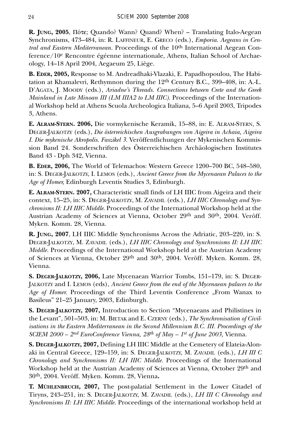R. JUNG, 2005,  $\Pi$ Óte; Quando? Wann? Quand? When? – Translating Italo-Aegean Synchronisms, 473–484, in: R. LAFFINEUR, E. GRECO (eds.), *Emporia. Aegeans in Central and Eastern Mediterranean.* Proceedings of the 10<sup>th</sup> International Aegean Conference/10e Rencontre égéenne internationale, Athens, Italian School of Archaeology, 14–18 April 2004, Aegaeum 25, Liège.

**B. EDER, 2005,** Response to M. Andreadhaki-Vlazaki, E. Papadhopoulou, The Habitation at Khamalevri, Rethymnon during the 12<sup>th</sup> Century B.C., 399–408, in: A.-L. D'AGATA, J. MOODY (eds.), *Ariadne's Threads. Connections between Crete and the Greek Mainland in Late Minoan III (LM IIIA2 to LM IIIC).* Proceedings of the International Workshop held at Athens Scuola Archeologica Italiana, 5–6 April 2003, Tripodes 3, Athens.

**E. ALRAM-STERN. 2006,** Die vormykenische Keramik, 15–88, in: E. ALRAM-STERN, S. DEGER-JALKOTZY (eds.), *Die österreichischen Ausgrabungen von Aigeira in Achaia, Aigeira I. Die mykenische Akropolis. Faszikel 3.* Veröffentlichungen der Mykenischen Kommission Band 24. Sonderschriften des Österreichischen Archäologischen Institutes Band 43 - Dph 342, Vienna.

**B. EDER, 2006,** The World of Telemachos: Western Greece 1200–700 BC, 548–580, in: S. DEGER-JALKOTZY, I. LEMOS (eds.), *Ancient Greece from the Mycenaean Palaces to the Age of Homer,* Edinburgh Leventis Studies 3, Edinburgh.

**E. ALRAM-STERN. 2007,** Characteristic small finds of LH IIIC from Aigeira and their context, 15–25, in: S. DEGER-JALKOTZY, M. ZAVADIL (eds.), *LH IIIC Chronology and Synchronisms II: LH IIIC Middle*. Proceedings of the International Workshop held at the Austrian Academy of Sciences at Vienna, October 29th and 30th, 2004. Veröff. Myken. Komm. 28, Vienna.

**R. JUNG, 2007**, LH IIIC Middle Synchronisms Across the Adriatic, 203–220, in: S. DEGER-JALKOTZY, M. ZAVADIL (eds.), *LH IIIC Chronology and Synchronisms II: LH IIIC Middle.* Proceedings of the International Workshop held at the Austrian Academy of Sciences at Vienna, October 29th and 30th, 2004. Veröff. Myken. Komm. 28, Vienna.

**S. DEGER-JALKOTZY, 2006,** Late Mycenaean Warrior Tombs, 151–179, in: S. DEGER-JALKOTZY and I. LEMOS (eds), *Ancient Greece from the end of the Mycenaean palaces to the* Age of Homer. Proceedings of the Third Leventis Conference "From Wanax to Basileus" 21–25 January, 2003, Edinburgh.

**S. DEGER-JALKOTZY, 2007,** Introduction to Section "Mycenaeans and Philistines in the Levant", 501–503, in: M. BIETAK and E. CZERNY (eds.), *The Synchronisation of Civilisations in the Eastern Mediterranean in the Second Millennium B.C. III. Proceedings of the SCIEM 2000 – 2nd EuroConference Vienna, 28th of May – 1st of June 2003,* Vienna.

**S. DEGER-JALKOTZY, 2007,** Defining LH IIIC Middle at the Cemetery of Elateia-Alonaki in Central Greece, 129–159, in: S. DEGER-JALKOTZY, M. ZAVADIL (eds.), *LH III C Chronology and Synchronisms II: LH IIIC Middle.* Proceedings of the International Workshop held at the Austrian Academy of Sciences at Vienna, October 29th and 30th, 2004. Veröff. Myken. Komm. 28, Vienna**.**

**T. MÜHLENBRUCH, 2007,** The post-palatial Settlement in the Lower Citadel of Tiryns, 243–251, in: S. DEGER-JALKOTZY, M. ZAVADIL (eds.), *LH III C Chronology and Synchronisms II: LH IIIC Middle.* Proceedings of the international workshop held at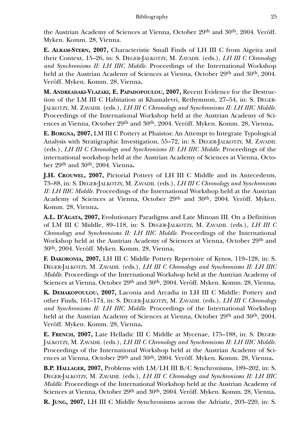the Austrian Academy of Sciences at Vienna, October 29th and 30th, 2004. Veröff. Myken. Komm. 28, Vienna.

**E. ALRAM-STERN, 2007,** Characteristic Small Finds of LH III C from Aigeira and their Context, 15–26, in: S. DEGER-JALKOTZY, M. ZAVADIL (eds.), *LH III C Chronology and Synchronisms II: LH IIIC Middle.* Proceedings of the International Workshop held at the Austrian Academy of Sciences at Vienna, October 29<sup>th</sup> and 30<sup>th</sup>, 2004. Veröff. Myken. Komm. 28, Vienna**.**

**M. ANDREADAKI-VLAZAKI, E. PAPADOPOULOU, 2007,** Recent Evidence for the Destruction of the LM III C Habitation at Khamalevri, Rethymnon, 27–54, in: S. DEGER-JALKOTZY, M. ZAVADIL (eds.), *LH III C Chronology and Synchronisms II: LH IIIC Middle.* Proceedings of the International Workshop held at the Austrian Academy of Sciences at Vienna, October 29th and 30th, 2004. Veröff. Myken. Komm. 28, Vienna**.**

**E. BORGNA, 2007,** LM III C Pottery at Phaistos: An Attempt to Integrate Typological Analysis with Stratigraphic Investigation, 55–72, in: S. DEGER-JALKOTZY, M. ZAVADIL (eds.), *LH III C Chronology and Synchronisms II: LH IIIC Middle.* Proceedings of the international workshop held at the Austrian Academy of Sciences at Vienna, October 29th and 30th, 2004. Vienna**.**

**J.H. CROUWEL, 2007,** Pictorial Pottery of LH III C Middle and its Antecedents, 73–88, in: S. DEGER-JALKOTZY, M. ZAVADIL (eds.), *LH III C Chronology and Synchronisms II: LH IIIC Middle.* Proceedings of the International Workshop held at the Austrian Academy of Sciences at Vienna, October 29th and 30th, 2004. Veröff. Myken. Komm. 28, Vienna**.**

**A.L. D'AGATA, 2007,** Evolutionary Paradigms and Late Minoan III. On a Definition of LM III C Middle, 89–118, in: S. DEGER-JALKOTZY, M. ZAVADIL (eds.), *LH III C Chronology and Synchronisms II: LH IIIC Middle.* Proceedings of the International Workshop held at the Austrian Academy of Sciences at Vienna, October 29th and 30th, 2004. Veröff. Myken. Komm. 28, Vienna**.**

**F. DAKORONIA, 2007,** LH III C Middle Pottery Repertoire of Kynos, 119–128, in: S. DEGER-JALKOTZY, M. ZAVADIL (eds.), *LH III C Chronology and Synchronisms II: LH IIIC Middle.* Proceedings of the International Workshop held at the Austrian Academy of Sciences at Vienna, October 29th and 30th, 2004. Veröff. Myken. Komm. 28, Vienna**.**

**K. DEMAKOPOULOU, 2007,** Laconia and Arcadia in LH III C Middle: Pottery and other Finds, 161–174, in: S. DEGER-JALKOTZY, M. ZAVADIL (eds.), *LH III C Chronology and Synchronisms II: LH IIIC Middle.* Proceedings of the International Workshop held at the Austrian Academy of Sciences at Vienna, October 29<sup>th</sup> and 30<sup>th</sup>, 2004. Veröff. Myken. Komm. 28, Vienna**.**

**E. FRENCH, 2007,** Late Helladic III C Middle at Mycenae, 175–188, in: S. DEGER-JALKOTZY, M. ZAVADIL (eds.), *LH III C Chronology and Synchronisms II: LH IIIC Middle.* Proceedings of the International Workshop held at the Austrian Academy of Sciences at Vienna, October 29th and 30th, 2004. Veröff. Myken. Komm. 28, Vienna**.**

**B.P. HALLAGER, 2007,** Problems with LM/LH III B/C Synchronisms, 189–202, in: S. DEGER-JALKOTZY, M. ZAVADIL (eds.), *LH III C Chronology and Synchronisms II: LH IIIC Middle.* Proceedings of the International Workshop held at the Austrian Academy of Sciences at Vienna, October 29th and 30th, 2004. Veröff. Myken. Komm. 28, Vienna**.**

**R. JUNG, 2007,** LH III C Middle Synchronisms across the Adriatic, 203–220, in: S.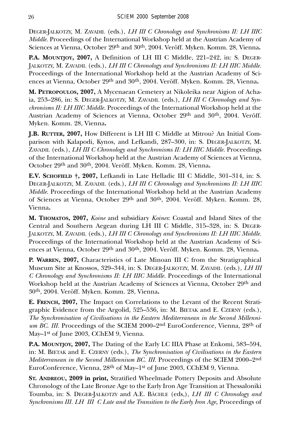DEGER-JALKOTZY, M. ZAVADIL (eds.), *LH III C Chronology and Synchronisms II: LH IIIC Middle.* Proceedings of the International Workshop held at the Austrian Academy of Sciences at Vienna, October 29th and 30th, 2004. Veröff. Myken. Komm. 28, Vienna**.**

**P.A. MOUNTJOY, 2007,** A Definition of LH III C Middle, 221–242, in: S. DEGER-JALKOTZY, M. ZAVADIL (eds.), *LH III C Chronology and Synchronisms II: LH IIIC Middle.* Proceedings of the International Workshop held at the Austrian Academy of Sciences at Vienna, October 29th and 30th, 2004. Veröff. Myken. Komm. 28, Vienna**.**

**M. PETROPOULOS, 2007,** A Mycenaean Cemetery at Nikoleika near Aigion of Achaia, 253–286, in: S. DEGER-JALKOTZY, M. ZAVADIL (eds.), *LH III C Chronology and Synchronisms II: LH IIIC Middle.* Proceedings of the International Workshop held at the Austrian Academy of Sciences at Vienna, October 29th and 30th, 2004. Veröff. Myken. Komm. 28, Vienna**.**

**J.B. RUTTER, 2007,** How Different is LH III C Middle at Mitrou? An Initial Comparison with Kalapodi, Kynos, and Lefkandi, 287–300, in: S. DEGER-JALKOTZY, M. ZAVADIL (eds.), *LH III C Chronology and Synchronisms II: LH IIIC Middle*. Proceedings of the International Workshop held at the Austrian Academy of Sciences at Vienna, October 29th and 30th, 2004. Veröff. Myken. Komm. 28, Vienna**.**

**E.V. SCHOFIELD †, 2007,** Lefkandi in Late Helladic III C Middle, 301–314, in: S. DEGER-JALKOTZY, M. ZAVADIL (eds.), *LH III C Chronology and Synchronisms II: LH IIIC Middle.* Proceedings of the International Workshop held at the Austrian Academy of Sciences at Vienna, October 29th and 30th, 2004. Veröff. Myken. Komm. 28, Vienna**.**

**M. THOMATOS, 2007,** *Koine* and subsidiary *Koines*: Coastal and Island Sites of the Central and Southern Aegean during LH III C Middle, 315–328, in: S. DEGER-JALKOTZY, M. ZAVADIL (eds.), *LH III C Chronology and Synchronisms II: LH IIIC Middle.* Proceedings of the International Workshop held at the Austrian Academy of Sciences at Vienna, October 29th and 30th, 2004. Veröff. Myken. Komm. 28, Vienna**.**

**P. WARREN, 2007,** Characteristics of Late Minoan III C from the Stratigraphical Museum Site at Knossos, 329–344, in: S. DEGER-JALKOTZY, M. ZAVADIL (eds.), *LH III C Chronology and Synchronisms II: LH IIIC Middle.* Proceedings of the International Workshop held at the Austrian Academy of Sciences at Vienna, October 29th and 30th, 2004. Veröff. Myken. Komm. 28, Vienna**.**

**E. FRENCH, 2007,** The Impact on Correlations to the Levant of the Recent Stratigraphic Evidence from the Argolid, 525–536, in: M. BIETAK and E. CZERNY (eds.), *The Synchronisation of Civilisations in the Eastern Mediterranean in the Second Millennium BC. III.* Proceedings of the SCIEM 2000–2<sup>nd</sup> EuroConference, Vienna, 28<sup>th</sup> of May-1<sup>st</sup> of June 2003, CChEM 9, Vienna.

**P.A. MOUNTJOY, 2007,** The Dating of the Early LC IIIA Phase at Enkomi, 583–594, in: M. BIETAK and E. CZERNY (eds.), *The Synchronisation of Civilisations in the Eastern Mediterranean in the Second Millennium BC. III.* Proceedings of the SCIEM 2000–2nd EuroConference, Vienna, 28th of May–1st of June 2003, CChEM 9, Vienna.

**ST. ANDREOU, 2009 in print,** Stratified Wheelmade Pottery Deposits and Absolute Chronology of the Late Bronze Age to the Early Iron Age Transition at Thessaloniki Toumba, in: S. DEGER-JALKOTZY and A.E. BÄCHLE (eds,), *LH III C Chronology and Synchronisms III. LH III C Late and the Transition to the Early Iron Age, Proceedings of*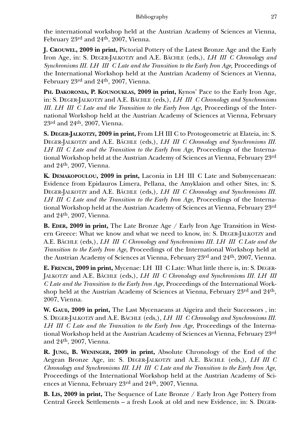the international workshop held at the Austrian Academy of Sciences at Vienna, February 23rd and 24th, 2007, Vienna.

**J. CROUWEL, 2009 in print,** Pictorial Pottery of the Latest Bronze Age and the Early Iron Age, in: S. DEGER-JALKOTZY and A.E. BÄCHLE (eds,), *LH III C Chronology and Synchronisms III. LH III C Late and the Transition to the Early Iron Age, Proceedings of* the International Workshop held at the Austrian Academy of Sciences at Vienna, February 23rd and 24th, 2007, Vienna.

**PH. DAKORONIA, P. KOUNOUKLAS, 2009 in print,** Kynos' Pace to the Early Iron Age, in: S. DEGER-JALKOTZY and A.E. BÄCHLE (eds,), *LH III C Chronology and Synchronisms* III. LH III C Late and the Transition to the Early Iron Age, Proceedings of the International Workshop held at the Austrian Academy of Sciences at Vienna, February 23rd and 24th, 2007, Vienna.

**S. DEGER-JALKOTZY, 2009 in print,** From LH III C to Protogeometric at Elateia, in: S. DEGER-JALKOTZY and A.E. BÄCHLE (eds,), *LH III C Chronology and Synchronisms III. LH III C Late and the Transition to the Early Iron Age, Proceedings of the Interna*tional Workshop held at the Austrian Academy of Sciences at Vienna, February 23rd and 24th, 2007, Vienna.

**K. DEMAKOPOULOU, 2009 in print,** Laconia in LH III C Late and Submycenaean: Evidence from Epidauros Limera, Pellana, the Amyklaion and other Sites, in: S. DEGER-JALKOTZY and A.E. BÄCHLE (eds,), *LH III C Chronology and Synchronisms III. LH III C Late and the Transition to the Early Iron Age, Proceedings of the Interna*tional Workshop held at the Austrian Academy of Sciences at Vienna, February 23rd and 24th, 2007, Vienna.

**B. EDER, 2009 in print,** The Late Bronze Age / Early Iron Age Transition in Western Greece: What we know and what we need to know, in: S. DEGER-JALKOTZY and A.E. BÄCHLE (eds,), *LH III C Chronology and Synchronisms III. LH III C Late and the Transition to the Early Iron Age,* Proceedings of the International Workshop held at the Austrian Academy of Sciences at Vienna, February 23rd and 24th, 2007, Vienna.

**E. FRENCH, 2009 in print,** Mycenae: LH III C Late: What little there is, in: S. DEGER-JALKOTZY and A.E. BÄCHLE (eds,), *LH III C Chronology and Synchronisms III. LH III C Late and the Transition to the Early Iron Age,* Proceedings of the International Workshop held at the Austrian Academy of Sciences at Vienna, February 23rd and 24th, 2007, Vienna.

**W. GAUß, 2009 in print,** The Last Mycenaeans at Aigeira and their Successors , in: S. DEGER-JALKOTZY and A.E. BÄCHLE (eds,), *LH III C Chronology and Synchronisms III. LH III C Late and the Transition to the Early Iron Age, Proceedings of the Interna*tional Workshop held at the Austrian Academy of Sciences at Vienna, February 23rd and 24th, 2007, Vienna.

**R. JUNG, B. WENINGER, 2009 in print,** Absolute Chronology of the End of the Aegean Bronze Age, in: S. DEGER-JALKOTZY and A.E. BÄCHLE (eds,), *LH III C Chronology and Synchronisms III. LH III C Late and the Transition to the Early Iron Age,* Proceedings of the International Workshop held at the Austrian Academy of Sciences at Vienna, February 23rd and 24th, 2007, Vienna.

**B. LIS, 2009 in print,** The Sequence of Late Bronze / Early Iron Age Pottery from Central Greek Settlements – a fresh Look at old and new Evidence, in: S. DEGER-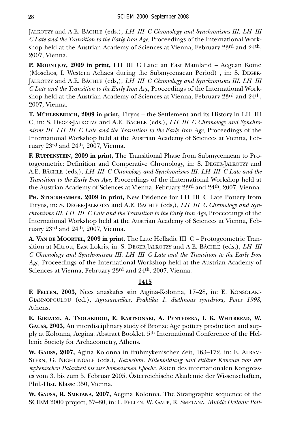JALKOTZY and A.E. BÄCHLE (eds,), *LH III C Chronology and Synchronisms III. LH III C Late and the Transition to the Early Iron Age,* Proceedings of the International Workshop held at the Austrian Academy of Sciences at Vienna, February 23rd and 24th, 2007, Vienna.

**P. MOUNTJOY, 2009 in print,** LH III C Late: an East Mainland – Aegean Koine (Moschos, I. Western Achaea during the Submycenaean Period) , in: S. DEGER-JALKOTZY and A.E. BÄCHLE (eds,), *LH III C Chronology and Synchronisms III. LH III C Late and the Transition to the Early Iron Age,* Proceedings of the International Workshop held at the Austrian Academy of Sciences at Vienna, February 23rd and 24th, 2007, Vienna.

**T. MÜHLENBRUCH, 2009 in print,** Tiryns – the Settlement and its History in LH III C, in: S. DEGER-JALKOTZY and A.E. BÄCHLE (eds,), *LH III C Chronology and Synchronisms III. LH III C Late and the Transition to the Early Iron Age, Proceedings of the* International Workshop held at the Austrian Academy of Sciences at Vienna, February 23rd and 24th, 2007, Vienna.

**F. RUPPENSTEIN, 2009 in print,** The Transitional Phase from Submycenaean to Protogeometric: Definition and Comperative Chronology, in: S. DEGER-JALKOTZY and A.E. BÄCHLE (eds,), *LH III C Chronology and Synchronisms III. LH III C Late and the Transition to the Early Iron Age,* Proceedings of the iInternational Workshop held at the Austrian Academy of Sciences at Vienna, February 23rd and 24th, 2007, Vienna.

**PH. STOCKHAMMER, 2009 in print,** New Evidence for LH III C Late Pottery from Tiryns, in: S. DEGER-JALKOTZY and A.E. BÄCHLE (eds,), *LH III C Chronology and Synchronisms III. LH III C Late and the Transition to the Early Iron Age, Proceedings of the* International Workshop held at the Austrian Academy of Sciences at Vienna, February 23rd and 24th, 2007, Vienna.

**A. VAN DE MOORTEL, 2009 in print,** The Late Helladic III C – Protogeometric Transition at Mitrou, East Lokris, in: S. DEGER-JALKOTZY and A.E. BÄCHLE (eds,), *LH III C Chronology and Synchronisms III. LH III C Late and the Transition to the Early Iron Age,* Proceedings of the International Workshop held at the Austrian Academy of Sciences at Vienna, February 23rd and 24th, 2007, Vienna.

# **1415**

**F. FELTEN, 2003,** Nees anaskafes stin Aigina-Kolonna, 17–28, in: E. KONSOLAKI-GIANNOPOULOU (ed.), *Agrosaronikos, Praktika 1. diethnous synedriou, Poros 1998*, Athens.

**E. KIRIATZI, A. TSOLAKIDOU, E. KARTSONAKI, A. PENTEDEKA, I. K. WHITBREAD, W. GAUSS, 2003,** An interdisciplinary study of Bronze Age pottery production and supply at Kolonna, Aegina. Abstract Booklet. 5th International Conference of the Hellenic Society for Archaeometry, Athens.

**W. GAUSS, 2007,** Ägina Kolonna in frühmykenischer Zeit, 163–172, in: E. ALRAM-STERN, G. NIGHTINGALE (eds.), *Keimelion. Elitenbildung und elitärer Konsum von der mykenischen Palastzeit bis zur homerischen Epoche.* Akten des internationalen Kongresses vom 3. bis zum 5. Februar 2005, Österreichische Akademie der Wissenschaften, Phil.-Hist. Klasse 350, Vienna.

**W. GAUSS, R. SMETANA, 2007,** Aegina Kolonna. The Stratigraphic sequence of the SCIEM 2000 project, 57–80, in: F. FELTEN, W. GAUß, R. SMETANA, *Middle Helladic Pott-*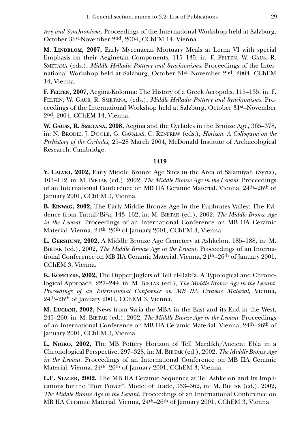*tery and Synchronisms.* Proceedings of the International Workshop held at Salzburg, October 31st-November 2nd, 2004, CChEM 14, Vienna.

**M. LINDBLOM, 2007,** Early Mycenaean Mortuary Meals at Lerna VI with special Emphasis on their Aeginetan Components, 115–135, in: F. FELTEN, W. GAUß, R. SMETANA (eds.), *Middle Helladic Potttery and Synchronisms.* Proceedings of the International Workshop held at Salzburg, October 31st–November 2nd, 2004, CChEM 14, Vienna.

**F. FELTEN, 2007,** Aegina-Kolonna: The History of a Greek Acropolis, 115–135, in: F. FELTEN, W. GAUß, R. SMETANA, (eds.), *Middle Helladic Potttery and Synchronisms.* Proceedings of the International Workshop held at Salzburg, October 31st–November 2nd, 2004, CChEM 14, Vienna.

**W. GAUSS, R. SMETANA, 2008,** Aegina and the Cyclades in the Bronze Age, 365–378, in: N. BRODIE, J. DOOLE, G. GAVALAS, C. RENFREW (eds.), *Horizon. A Colloquim on the Prehistory of the Cyclades,* 25–28 March 2004, McDonald Institute of Archaeological Research, Cambridge.

#### **1419**

**Y. CALVET, 2002,** Early Middle Bronze Age Sites in the Area of Salamiyah (Syria), 103–112, in: M. BIETAK (ed.), 2002, *The Middle Bronze Age in the Levant.* Proceedings of an International Conference on MB IIA Ceramic Material. Vienna, 24th–26th of January 2001, CChEM 3, Vienna.

**B. EINWAG, 2002,** The Early Middle Bronze Age in the Euphrates Valley: The Evidence from Tuttul/Bica, 143–162, in: M. BIETAK (ed.), 2002, *The Middle Bronze Age in the Levant.* Proceedings of an International Conference on MB IIA Ceramic Material. Vienna, 24<sup>th</sup>–26<sup>th</sup> of January 2001, CChEM 3, Vienna.

**L. GERSHUNY, 2002,** A Middle Bronze Age Cemetery at Ashkelon, 185–188, in: M. BIETAK (ed.), 2002, *The Middle Bronze Age in the Levant.* Proceedings of an International Conference on MB IIA Ceramic Material. Vienna, 24th–26th of January 2001, CChEM 3, Vienna.

**K. KOPETZKY, 2002,** The Dipper Juglets of Tell el-Dabca. A Typological and Chronological Approach, 227–244, in: M. BIETAK (ed.), *The Middle Bronze Age in the Levant. Proceedings of an International Conference on MB IIA Ceramic Material,* Vienna,  $24<sup>th</sup>$ – $26<sup>th</sup>$  of January 2001, CChEM 3, Vienna.

**M. LUCIANI, 2002,** News from Syria the MBA in the East and its End in the West, 245–260, in: M. BIETAK (ed.), 2002, *The Middle Bronze Age in the Levant.* Proceedings of an International Conference on MB IIA Ceramic Material. Vienna, 24th–26th of January 2001, CChEM 3, Vienna.

**L. NIGRO, 2002,** The MB Pottery Horizon of Tell Mardikh/Ancient Ebla in a Chronological Perspective, 297–328, in: M. BIETAK (ed.), 2002, *The Middle Bronze Age in the Levant.* Proceedings of an International Conference on MB IIA Ceramic Material. Vienna, 24<sup>th</sup>–26<sup>th</sup> of January 2001, CChEM 3, Vienna.

**L.E. STAGER, 2002,** The MB IIA Ceramic Sequence at Tel Ashkelon and Its Implications for the "Port Power". Model of Trade, 353–362, in: M. BIETAK (ed.), 2002, *The Middle Bronze Age in the Levant.* Proceedings of an International Conference on MB IIA Ceramic Material. Vienna, 24th–26th of January 2001, CChEM 3, Vienna.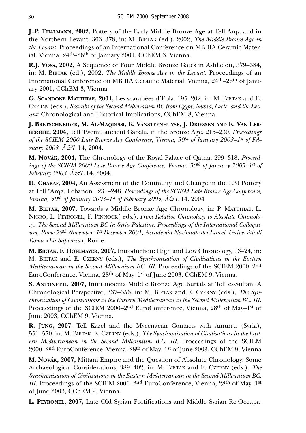**J.-P. THALMANN, 2002,** Pottery of the Early Middle Bronze Age at Tell Arqa and in the Northern Levant, 363–378, in: M. BIETAK (ed.), 2002, *The Middle Bronze Age in the Levant.* Proceedings of an International Conference on MB IIA Ceramic Material. Vienna, 24th–26th of January 2001, CChEM 3, Vienna.

**R.J. VOSS, 2002,** A Sequence of Four Middle Bronze Gates in Ashkelon, 379–384, in: M. BIETAK (ed.), 2002, *The Middle Bronze Age in the Levant.* Proceedings of an International Conference on MB IIA Ceramic Material. Vienna, 24th–26th of January 2001, CChEM 3, Vienna.

**G. SCANDONE MATTHIAE, 2004,** Les scarabées d'Ebla, 195–202, in: M. BIETAK and E. CZERNY (eds.), *Scarabs of the Second Millennium BC from Egypt, Nubia, Crete, and the Levant*: Chronological and Historical Implications, CChEM 8, Vienna.

**J. BRETSCHNEIDER, M. AL-MAQDISSI, K. VANSTEENHUYSE, J. DRIESSEN AND K. VAN LER-BERGHE, 2004,** Tell Tweini, ancient Gabala, in the Bronze Age, 215–230, *Proceedings of the SCIEM 2000 Late Bronze Age Conference, Vienna, 30th of January 2003–1st of February 2003*, *Ä&L* 14, 2004.

**M. NOVÁK, 2004,** The Chronology of the Royal Palace of Qatna, 299–318, *Proceedings of the SCIEM 2000 Late Bronze Age Conference, Vienna, 30th of January 2003–1st of February 2003*, *Ä&L* 14, 2004.

**H. CHARAF, 2004,** An Assessment of the Continuity and Change in the LBI Pottery at Tell cArqa, Lebanon., 231–248, *Proceedings of the SCIEM Late Bronze Age Conference, Vienna, 30th of January 2003–1st of February 2003*, *Ä&L* 14, 2004

**M. BIETAK, 2007,** Towards a Middle Bronze Age Chronology, in: P. MATTHIAE, L. NIGRO, L. PEYRONEL, F. PINNOCK( eds.), *From Relative Chronology to Absolute Chronology. The Second Millennium BC in Syria Palestine. Proceedings of the International Colloquium, Rome 29th November–1st December 2001, Accademia Nazionale dei Lincei–Università di Roma <La Sapienza>,* Rome.

**M. BIETAK, F. HÖFLMAYER, 2007,** Introduction: High and Low Chronology, 13–24, in: M. BIETAK and E. CZERNY (eds.), *The Synchronisation of Civilisations in the Eastern Mediterranean in the Second Millennium BC. III.* Proceedings of the SCIEM 2000–2nd EuroConference, Vienna, 28th of May–1st of June 2003, CChEM 9, Vienna.

**S. ANTONETTI, 2007,** Intra moenia Middle Bronze Age Burials at Tell es-Sultan: A Chronological Perspective, 337–356, in: M. BIETAK and E. CZERNY (eds.), *The Synchronisation of Civilisations in the Eastern Mediterranean in the Second Millennium BC. III.* Proceedings of the SCIEM 2000–2nd EuroConference, Vienna, 28th of May–1st of June 2003, CChEM 9, Vienna.

**R. JUNG, 2007**, Tell Kazel and the Mycenaean Contacts with Amurru (Syria), 551–570, in: M. BIETAK, E. CZERNY (eds*.*), *The Synchronisation of Civilisations in the Eastern Mediterranean in the Second Millennium B.C. III.* Proceedings of the SCIEM 2000–2nd EuroConference, Vienna, 28th of May–1st of June 2003, CChEM 9, Vienna

**M. NOVÁK, 2007,** Mittani Empire and the Question of Absolute Chronology: Some Archaeological Considerations, 389–402, in: M. BIETAK and E. CZERNY (eds.), *The Synchronisation of Civilisations in the Eastern Mediterranean in the Second Millennium BC. III.* Proceedings of the SCIEM 2000–2<sup>nd</sup> EuroConference, Vienna, 28<sup>th</sup> of May–1<sup>st</sup> of June 2003, CChEM 9, Vienna.

**L. PEYRONEL, 2007,** Late Old Syrian Fortifications and Middle Syrian Re-Occupa-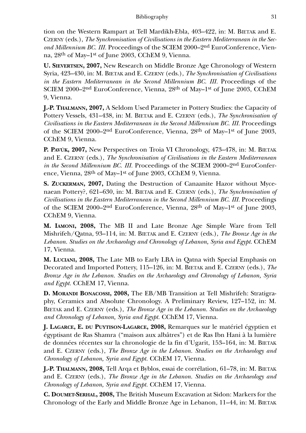tion on the Western Rampart at Tell Mardikh-Ebla, 403–422, in: M. BIETAK and E. CZERNY (eds.), *The Synchronisation of Civilisations in the Eastern Mediterranean in the Second Millennium BC. III.* Proceedings of the SCIEM 2000–2nd EuroConference, Vienna, 28th of May–1st of June 2003, CChEM 9, Vienna.

**U. SIEVERTSEN, 2007,** New Research on Middle Bronze Age Chronology of Western Syria, 423–430, in: M. BIETAK and E. CZERNY (eds.), *The Synchronisation of Civilisations in the Eastern Mediterranean in the Second Millennium BC. III.* Proceedings of the SCIEM 2000–2nd EuroConference, Vienna, 28th of May–1st of June 2003, CChEM 9, Vienna.

**J.-P. THALMANN, 2007,** A Seldom Used Parameter in Pottery Studies: the Capacity of Pottery Vessels, 431–438, in: M. BIETAK and E. CZERNY (eds.), *The Synchronisation of Civilisations in the Eastern Mediterranean in the Second Millennium BC. III.* Proceedings of the SCIEM 2000–2nd EuroConference, Vienna, 28th of May–1st of June 2003, CChEM 9, Vienna.

**P. PAVÚK, 2007,** New Perspectives on Troia VI Chronology, 473–478, in: M. BIETAK and E. CZERNY (eds.), *The Synchronisation of Civilisations in the Eastern Mediterranean in the Second Millennium BC. III.* Proceedings of the SCIEM 2000–2nd EuroConference, Vienna, 28th of May–1st of June 2003, CChEM 9, Vienna.

**S. ZUCKERMAN, 2007,** Dating the Destruction of Canaanite Hazor without Mycenaean Pottery?, 621–630, in: M. BIETAK and E. CZERNY (eds.), *The Synchronisation of Civilisations in the Eastern Mediterranean in the Second Millennium BC. III.* Proceedings of the SCIEM 2000–2nd EuroConference, Vienna, 28th of May–1st of June 2003, CChEM 9, Vienna.

**M. IAMONI, 2008,** The MB II and Late Bronze Age Simple Ware from Tell Mishrifeh/Qatna, 93–114, in: M. BIETAK and E. CZERNY (eds.), *The Bronze Age in the* Lebanon. Studies on the Archaeology and Chronology of Lebanon, Syria and Egypt. CChEM 17, Vienna.

**M. LUCIANI, 2008,** The Late MB to Early LBA in Qatna with Special Emphasis on Decorated and Imported Pottery, 115–126, in: M. BIETAK and E. CZERNY (eds.), *The Bronze Age in the Lebanon. Studies on the Archaeology and Chronology of Lebanon, Syria and Egypt.* CChEM 17, Vienna.

**D. MORANDI BONACOSSI, 2008,** The EB/MB Transition at Tell Mishrifeh: Stratigraphy, Ceramics and Absolute Chronology. A Preliminary Review, 127–152, in: M. BIETAK and E. CZERNY (eds.), *The Bronze Age in the Lebanon. Studies on the Archaeology and Chronology of Lebanon, Syria and Egypt.* CChEM 17, Vienna.

**J. LAGARCE, E. DU PUYTISON-LAGARCE, 2008,** Remarques sur le matériel égyptien et égyptisant de Ras Shamra ("maison aux albâtres") et de Ras Ibn Hani à la lumière de données récentes sur la chronologie de la fin d'Ugarit, 153–164, in: M. BIETAK and E. CZERNY (eds.), *The Bronze Age in the Lebanon. Studies on the Archaeology and Chronology of Lebanon, Syria and Egypt.* CChEM 17, Vienna.

**J.-P. THALMANN, 2008,** Tell Arqa et Byblos, essai de corrélation, 61–78, in: M. BIETAK and E. CZERNY (eds.), *The Bronze Age in the Lebanon. Studies on the Archaeology and Chronology of Lebanon, Syria and Egypt.* CChEM 17, Vienna.

**C. DOUMET-SERHAL, 2008,** The British Museum Excavation at Sidon: Markers for the Chronology of the Early and Middle Bronze Age in Lebanon, 11–44, in: M. BIETAK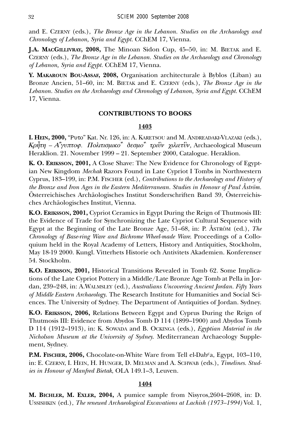and E. CZERNY (eds.), *The Bronze Age in the Lebanon. Studies on the Archaeology and Chronology of Lebanon, Syria and Egypt.* CChEM 17, Vienna.

**J.A. MACGILLIVRAY, 2008,** The Minoan Sidon Cup, 45–50, in: M. BIETAK and E. CZERNY (eds.), *The Bronze Age in the Lebanon. Studies on the Archaeology and Chronology of Lebanon, Syria and Egypt.* CChEM 17, Vienna.

**Y. MAKAROUN BOU-ASSAF, 2008,** Organisation architecturale à Byblos (Liban) au Bronze Ancien, 51–60, in: M. BIETAK and E. CZERNY (eds.), *The Bronze Age in the* Lebanon. Studies on the Archaeology and Chronology of Lebanon, Syria and Egypt. CChEM 17, Vienna.

### **CONTRIBUTIONS TO BOOKS**

#### **1403**

I. HEIN, 2000, "PUTO" Kat. Nr. 126, in: A. KARETSOU and M. ANDREADAKI-VLAZAKI (eds.), *Kr»th – A…guptoj. Politismiko… desmo… trièn cilietèn,* Archaeological Museum Heraklion. 21. November 1999 – 21. September 2000, Catalogue. Heraklion.

**K. O. ERIKSSON, 2001,** A Close Shave: The New Evidence for Chronology of Egyptian New Kingdom *Mechak* Razors Found in Late Cypriot I Tombs in Northwestern Cyprus, 183–199, in: P.M. FISCHER (ed.), *Contributions to the Archaeology and History of the Bronze and Iron Ages in the Eastern Mediterranean. Studies in Honour of Paul Åström.* Österreichisches Archäologisches Institut Sonderschriften Band 39, Österreichisches Archäologisches Institut, Vienna.

**K.O. ERIKSSON, 2001,** Cypriot Ceramics in Egypt During the Reign of Thutmosis III: the Evidence of Trade for Synchronizing the Late Cypriot Cultural Sequence with Egypt at the Beginning of the Late Bronze Age, 51–68, in: P. ÅSTRÖM (ed.), *The Chronology of Base-ring Ware and Bichrome Wheel-made Ware*. Proceedings of a Colloquium held in the Royal Academy of Letters, History and Antiquities, Stockholm, May 18-19 2000. Kungl. Vitterhets Historie och Antivitets Akademien. Konferenser 54. Stockholm.

**K.O. ERIKSSON, 2001,** Historical Transitions Revealed in Tomb 62. Some Implications of the Late Cypriot Pottery in a Middle/Late Bronze Age Tomb at Pella in Jordan, 239–248, in: A.WALMSLEY (ed.), *Australians Uncovering Ancient Jordan. Fifty Years of Middle Eastern Archaeology*. The Research Institute for Humanities and Social Sciences. The University of Sydney. The Department of Antiquities of Jordan. Sydney.

**K.O. ERIKSSON, 2006,** Relations Between Egypt and Cyprus During the Reign of Thutmosis III: Evidence from Abydos Tomb D 114 (1899–1900) and Abydos Tomb D 114 (1912–1913), in: K. SOWADA and B. OCKINGA (eds.), *Egyptian Material in the Nicholson Museum at the University of Sydney*. Mediterranean Archaeology Supplement, Sydney.

**P.M. FISCHER, 2006,** Chocolate-on-White Ware from Tell el-Dab<sup>c</sup>a, Egypt, 103–110, in: E. CZERNY, I. HEIN, H. HUNGER, D. MELMAN and A. SCHWAB (eds.), *Timelines. Studies in Honour of Manfred Bietak*, OLA 149.1–3, Leuven.

#### **1404**

**M. BICHLER, M. EXLER, 2004,** A pumice sample from Nisyros,2604–2608, in: D. USSISHKIN (ed.), *The renewed Archaeological Excavations at Lachish (1973–1994)* Vol. 1,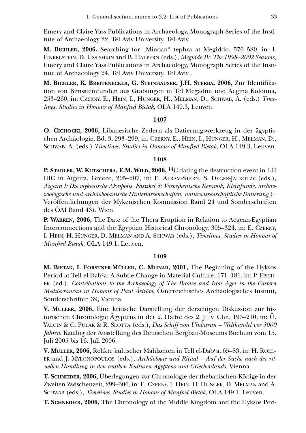Emery and Claire Yass Publications in Archaeology, Monograph Series of the Institute of Archaeology 22, Tel Aviv University, Tel Aviv.

**M. BICHLER, 2006,** Searching for "Minoan" tephra at Megiddo, 576–580, in: I. FINKELSTEIN, D. USSISHKIN and B. HALPERN (eds.), *Megiddo IV: The 1998–2002 Seasons,* Emery and Claire Yass Publications in Archaeology, Monograph Series of the Institute of Archaeology 24, Tel Aviv University, Tel Aviv .

**M. BICHLER, K. BREITENECKER, G. STEINHAUSER, J.H. STERBA, 2006,** Zur Identifikation von Bimssteinfunden aus Grabungen in Tel Megadim und Aegina Kolonna, 253–260, in: CZERNY, E., HEIN, I., HUNGER, H., MELMAN, D., SCHWAB, A. (eds.) *Timelines. Studies in Honour of Manfred Bietak*, OLA 149.3, Leuven.

#### **1407**

**O. CICHOCKI, 2006,** Libanesische Zedern als Datierungswerkzeug in der ägyptischen Archäologie. Bd. 3, 293–299, in: CZERNY, E., HEIN, I., HUNGER, H., MELMAN, D., SCHWAB, A. (eds.) *Timelines. Studies in Honour of Manfred Bietak*, OLA 149.3, Leuven.

#### **1408**

**P. STADLER, W. KUTSCHERA, E.M. WILD, 2006,** 14C dating the destruction event in LH IIIC in Aigeira, Greece, 205–207, in: E. ALRAM-STERN, S. DEGER-JALKOTZY (eds.), *Aigeira I: Die mykenische Akropolis. Faszikel 3: Vormykenische Keramik, Kleinfunde, archäozoologische und archäobotanische Hinterlassenschaften, naturwissenschaftliche Datierung* (= Veröffentlichungen der Mykenischen Kommission Band 24 und Sonderschriften des ÖAI Band 43). Wien.

**P. WARREN, 2006,** The Date of the Thera Eruption in Relation to Aegean-Egyptian Interconnections and the Egyptian Historical Chronology, 305–324, in: E. CZERNY, I. HEIN, H. HUNGER, D. MELMAN AND A. SCHWAB (eds.), *Timelines. Studies in Honour of Manfred Bietak*, OLA 149.1, Leuven.

#### **1409**

**M. BIETAK, I. FORSTNER-MÜLLER, C. MLINAR, 2001,** The Beginning of the Hyksos Period at Tell el-Dab<sup>c</sup>a: A Subtle Change in Material Culture, 171–181, in: P. FISCH-ER (ed.), *Contributions to the Archaeology of The Bronze and Iron Ages in the Eastern Mediterranean in Honour of Paul Åström*, Österreichisches Archäologisches Institut, Sonderschriften 39, Vienna.

**V. MÜLLER, 2006,** Eine kritische Darstellung der derzeitigen Diskussion zur historischen Chronologie Ägyptens in der 2. Hälfte des 2. Jt. v. Chr., 193–210, in: Ü. YALCIN & C. PULAK & R. SLOTTA (eds.), *Das Schiff von Uluburun – Welthandel vor 3000 Jahren*. Katalog der Ausstellung des Deutschen Bergbau-Museums Bochum vom 15. Juli 2005 bis 16. Juli 2006.

**V. MÜLLER, 2006,** Relikte kultischer Mahlzeiten in Tell el-Dabca, 65–83, in: H. ROED-ER and J. MYLONOPOULOS (eds.), *Archäologie und Ritual – Auf der Suche nach der rituellen Handlung in den antiken Kulturen Ägyptens und Griechenlands*, Vienna.

**T. SCHNEIDER, 2006,** Überlegungen zur Chronologie der thebanischen Könige in der Zweiten Zwischenzeit, 299–306, in: E. CZERNY, I. HEIN, H. HUNGER, D. MELMAN and A. SCHWAB (eds.), *Timelines. Studies in Honour of Manfred Bietak*, OLA 149.1, Leuven.

**T. SCHNEIDER, 2006,** The Chronology of the Middle Kingdom and the Hyksos Peri-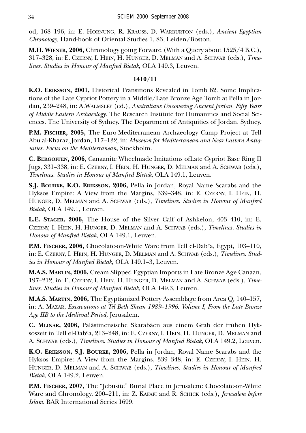od, 168–196, in: E. HORNUNG, R. KRAUSS, D. WARBURTON (eds.), *Ancient Egyptian Chronology,* Hand-book of Oriental Studies 1, 83, Leiden/Boston.

**M.H. WIENER, 2006,** Chronology going Forward (With a Query about 1525/4 B.C.), 317–328, in: E. CZERNY, I. HEIN, H. HUNGER, D. MELMAN and A. SCHWAB (eds.), *Timelines. Studies in Honour of Manfred Bietak*, OLA 149.3, Leuven.

# **1410/11**

**K.O. ERIKSSON, 2001,** Historical Transitions Revealed in Tomb 62. Some Implications of the Late Cypriot Pottery in a Middle/Late Bronze Age Tomb at Pella in Jordan, 239–248, in: A.WALMSLEY (ed.), *Australians Uncovering Ancient Jordan. Fifty Years of Middle Eastern Archaeology*. The Research Institute for Humanities and Social Sciences. The University of Sydney. The Department of Antiquities of Jordan. Sydney.

**P.M. FISCHER, 2005,** The Euro-Mediterranean Archaeology Camp Project at Tell Abu al-Kharaz, Jordan, 117–132, in: *Museum for Mediterranean and Near Eastern Antiquities. Focus on the Mediterranean,* Stockholm.

**C. BERGOFFEN, 2006**, Canaanite Wheelmade Imitations ofLate Cypriot Base Ring II Jugs, 331–338, in: E. CZERNY, I. HEIN, H. HUNGER, D. MELMAN and A. SCHWAB (eds.), *Timelines. Studies in Honour of Manfred Bietak*, OLA 149.1, Leuven.

**S.J. BOURKE, K.O. ERIKSSON, 2006,** Pella in Jordan, Royal Name Scarabs and the Hyksos Empire: A View from the Margins, 339–348, in: E. CZERNY, I. HEIN, H. HUNGER, D. MELMAN and A. SCHWAB (eds.), *Timelines. Studies in Honour of Manfred Bietak*, OLA 149.1, Leuven.

**L.E. STAGER, 2006,** The House of the Silver Calf of Ashkelon, 403–410, in: E. CZERNY, I. HEIN, H. HUNGER, D. MELMAN and A. SCHWAB (eds.), *Timelines. Studies in Honour of Manfred Bietak*, OLA 149.1, Leuven.

**P.M. FISCHER, 2006,** Chocolate-on-White Ware from Tell el-Dab<sup>c</sup>a, Egypt, 103–110, in: E. CZERNY, I. HEIN, H. HUNGER, D. MELMAN and A. SCHWAB (eds.), *Timelines. Studies in Honour of Manfred Bietak*, OLA 149.1–3, Leuven.

**M.A.S. MARTIN, 2006,** Cream Slipped Egyptian Imports in Late Bronze Age Canaan, 197–212, in: E. CZERNY, I. HEIN, H. HUNGER, D. MELMAN and A. SCHWAB (eds.), *Timelines. Studies in Honour of Manfred Bietak*, OLA 149.3, Leuven.

**M.A.S. MARTIN, 2006,** The Egyptianized Pottery Assemblage from Area Q, 140–157, in: A. MAZAR, *Excavations at Tel Beth Shean 1989*–*1996. Volume I, From the Late Bronze Age IIB to the Medieval Period*, Jerusalem.

**C. MLINAR, 2006,** Palästinensische Skarabäen aus einem Grab der frühen Hyksoszeit in Tell el-Dab<sup>c</sup>a, 213–248, in: E. Czerny, I. Hein, H. HUNGER, D. MELMAN and A. SCHWAB (eds.), *Timelines. Studies in Honour of Manfred Bietak*, OLA 149.2, Leuven.

**K.O. ERIKSSON, S.J. BOURKE, 2006,** Pella in Jordan, Royal Name Scarabs and the Hyksos Empire: A View from the Margins, 339–348, in: E. CZERNY, I. HEIN, H. HUNGER, D. MELMAN and A. SCHWAB (eds.), *Timelines. Studies in Honour of Manfred Bietak*, OLA 149.2, Leuven.

**P.M. FISCHER, 2007,** The "Jebusite" Burial Place in Jerusalem: Chocolate-on-White Ware and Chronology, 200–211, in: Z. KAFAFI and R. SCHICK (eds.), *Jerusalem before Islam.* BAR International Series 1699.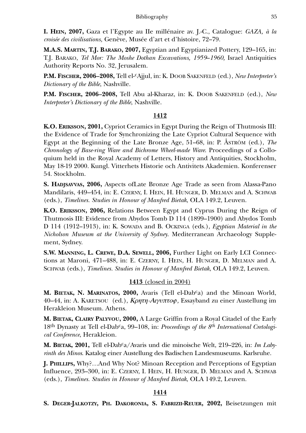**I. HEIN, 2007,** Gaza et l'Egypte au IIe millénaire av. J.-C., Catalogue: *GAZA, à la croisée des civilisations,* Genève, Musée d'art et d'histoire, 72–79.

**M.A.S. MARTIN, T.J. BARAKO, 2007,** Egyptian and Egyptianized Pottery, 129–165, in: T.J. BARAKO, *Tel Mor: The Moshe Dothan Excavations, 1959*–*1960,* Israel Antiquities Authority Reports No. 32, Jerusalem.

**P.M. FISCHER, 2006–2008,** Tell el-cAjjul, in: K. DOOB SAKENFELD (ed.), *New Interpreter's Dictionary of the Bible*, Nashville.

**P.M. FISCHER, 2006–2008,** Tell Abu al-Kharaz, in: K. DOOB SAKENFELD (ed.), *New Interpreter's Dictionary of the Bible*, Nashville.

## **1412**

**K.O. ERIKSSON, 2001,** Cypriot Ceramics in Egypt During the Reign of Thutmosis III: the Evidence of Trade for Synchronizing the Late Cypriot Cultural Sequence with Egypt at the Beginning of the Late Bronze Age, 51–68, in: P. ÅSTRÖM (ed.), *The Chronology of Base-ring Ware and Bichrome Wheel-made Ware*. Proceedings of a Colloquium held in the Royal Academy of Letters, History and Antiquities, Stockholm, May 18-19 2000. Kungl. Vitterhets Historie och Antivitets Akademien. Konferenser 54. Stockholm.

**S. HADJSAVVAS, 2006,** Aspects ofLate Bronze Age Trade as seen from Alassa-Pano Mandilaris, 449–454, in: E. CZERNY, I. HEIN, H. HUNGER, D. MELMAN and A. SCHWAB (eds.), *Timelines. Studies in Honour of Manfred Bietak*, OLA 149.2, Leuven.

**K.O. ERIKSSON, 2006,** Relations Between Egypt and Cyprus During the Reign of Thutmosis III: Evidence from Abydos Tomb D 114 (1899–1900) and Abydos Tomb D 114 (1912–1913), in: K. SOWADA and B. OCKINGA (eds.), *Egyptian Material in the Nicholson Museum at the University of Sydney*. Mediterranean Archaeology Supplement, Sydney.

**S.W. MANNING, L. CREWE, D.A. SEWELL, 2006,** Further Light on Early LCI Connections at Maroni, 471–488, in: E. CZERNY, I. HEIN, H. HUNGER, D. MELMAN and A. SCHWAB (eds.), *Timelines. Studies in Honour of Manfred Bietak*, OLA 149.2, Leuven.

# **1413** (closed in 2004)

**M. BIETAK, N. MARINATOS, 2000,** Avaris (Tell el-Dabca) and the Minoan World, 40–44, in: A. KARETSOU (ed.), *Κρητη-Αιγυπτοφ*, Essayband zu einer Austellung im Herakleion Museum. Athens.

**M. BIETAK, CLAIRY PALYVOU, 2000,** A Large Griffin from a Royal Citadel of the Early 18th Dynasty at Tell el-Dabca, 99–108, in: *Proceedings of the 8th International Cretological Conference*, Herakleion.

**M. BIETAK, 2001,** Tell el-Dabca/Avaris und die minoische Welt, 219–226, in: *Im Labyrinth des Minos*. Katalog einer Austellung des Badischen Landesmuseums. Karlsruhe.

**J. PHILLIPS,** Why?…And Why Not? Minoan Reception and Perceptions of Egyptian Influence, 293–300, in: E. CZERNY, I. HEIN, H. HUNGER, D. MELMAN and A. SCHWAB (eds.), *Timelines. Studies in Honour of Manfred Bietak*, OLA 149.2, Leuven.

# **1414**

**S. DEGER-JALKOTZY, PH. DAKORONIA, S. FABRIZII-REUER, 2002,** Beisetzungen mit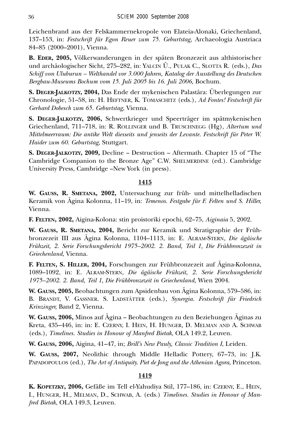Leichenbrand aus der Felskammernekropole von Elateia-Alonaki, Griechenland, 137–153, in: *Festschrift für Egon Reuer zum 75. Geburtstag,* Archaeologia Austriaca 84–85 (2000–2001), Vienna.

**B. EDER, 2005,** Völkerwanderungen in der späten Bronzezeit aus althistorischer und archäologischer Sicht, 275–282, in: YALCIN Ü., PULAK C., SLOTTA R. (eds.), *Das Schiff von Uluburun – Welthandel vor 3.000 Jahren, Katalog der Ausstellung des Deutschen Bergbau-Museums Bochum vom 15. Juli 2005 bis 16. Juli 2006,* Bochum.

**S. DEGER-JALKOTZY, 2004,** Das Ende der mykenischen Palastära: Überlegungen zur Chronologie, 51–58, in: H. HEFTNER, K. TOMASCHITZ (eds.), *Ad Fontes! Festschrift für Gerhard Dobesch zum 65. Geburtstag*, Vienna.

**S. DEGER-JALKOTZY, 2006,** Schwertkrieger und Speerträger im spätmykenischen Griechenland, 711–718, in: R. ROLLINGER und B. TRUSCHNEGG (Hg), *Altertum und Mittelmeerraum: Die antike Welt diesseits und jenseits der Levante. Festschrift für Peter W. Haider zum 60. Geburtstag,* Stuttgart.

**S. DEGER-JALKOTZY, 2009,** Decline – Destruction – Aftermath. Chapter 15 of "The Cambridge Companion to the Bronze Age" C.W. SHELMERDINE (ed.). Cambridge University Press, Cambridge –New York (in press).

### **1415**

**W. GAUSS, R. SMETANA, 2002,** Untersuchung zur früh- und mittelhelladischen Keramik von Ägina Kolonna, 11–19, in: *Temenos. Festgabe für F. Felten und S. Hiller,* Vienna.

**F. FELTEN, 2002,** Aigina-Kolona: stin proistoriki epochi, 62–75, *Aiginaia* 5, 2002.

**W. GAUSS, R. SMETANA, 2004,** Bericht zur Keramik und Stratigraphie der Frühbronzezeit III aus Ägina Kolonna, 1104–1113, in: E. ALRAM-STERN, *Die ägäische Frühzeit, 2. Serie Forschungsbericht 1975–2002. 2. Band, Teil 1, Die Frühbronzezeit in Griechenland*, Vienna.

**F. FELTEN, S. HILLER, 2004,** Forschungen zur Frühbronzezeit auf Ägina-Kolonna, 1089–1092, in: E. ALRAM-STERN, *Die ägäische Frühzeit, 2. Serie Forschungsbericht 1975–2002. 2. Band, Teil 1, Die Frühbronzezeit in Griechenland,* Wien 2004.

**W. GAUSS, 2005,** Beobachtungen zum Apsidenbau von Ägina Kolonna, 579–586, in: B. BRANDT, V. GASSNER. S. LADSTÄTTER (eds.), *Synergia. Festschrift für Friedrich Krinzinger,* Band 2, Vienna.

**W. GAUSS, 2006,** Minos auf Ägina – Beobachtungen zu den Beziehungen Äginas zu Kreta, 435–446, in: in: E. CZERNY, I. HEIN, H. HUNGER, D. MELMAN AND A. SCHWAB (eds.), *Timelines. Studies in Honour of Manfred Bietak*, OLA 149.2, Leuven.

**W. GAUSS, 2006,** Aigina, 41–47, in; *Brill's New Pauly, Classic Tradition I*, Leiden.

**W. GAUSS, 2007,** Neolithic through Middle Helladic Pottery, 67–73, in: J.K. PAPADOPOULOS (ed.), *The Art of Antiquity. Piet de Jong and the Athenian Agora,* Princeton.

## **1419**

**K. KOPETZKY, 2006,** Gefäße im Tell el-Yahudiya Stil, 177–186, in: CZERNY, E., HEIN, I., HUNGER, H., MELMAN, D., SCHWAB, A. (eds.) *Timelines. Studies in Honour of Manfred Bietak*, OLA 149.3, Leuven.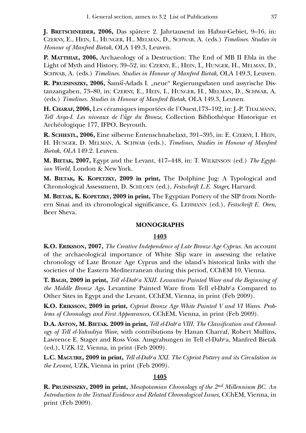**J. BRETSCHNEIDER, 2006,** Das spätere 2. Jahrtausend im Habur-Gebiet, 9–16, in: CZERNY, E., HEIN, I., HUNGER, H., MELMAN, D., SCHWAB, A. (eds.) *Timelines. Studies in Honour of Manfred Bietak*, OLA 149.3, Leuven.

**P. MATTHIAE, 2006,** Archaeology of a Destruction: The End of MB II Ebla in the Light of Myth and History, 39–52, in: CZERNY, E., HEIN, I., HUNGER, H., MELMAN, D., SCHWAB, A. (eds.) *Timelines. Studies in Honour of Manfred Bietak*, OLA 149.3, Leuven.

**R. PRUZSINSZKY, 2006,** Šamšï-Adads I. "neue" Regierungsdaten und assyrische Distanzangaben, 73–80, in: CZERNY, E., HEIN, I., HUNGER, H., MELMAN, D., SCHWAB, A. (eds.) *Timelines. Studies in Honour of Manfred Bietak*, OLA 149.3, Leuven.

**H. CHARAF, 2006,** Les céramiques importées de l'Ouest,173–192, in: J.-P. THALMANN, *Tell Arqa-I*. *Les niveaux de l'âge du Bronze,* Collection Bibliothèque Historique et Archéologique 177, IFPO, Beyrouth.

**R. SCHIESTL, 2006,** Eine silberne Entenschnabelaxt, 391–395, in: E. CZERNY, I. HEIN, H. HUNGER, D. MELMAN, A. SCHWAB (eds.), *Timelines, Studies in Honour of Manfred Bietak*, *OLA* 149.2. Leuven.

**M. BIETAK, 2007,** Egypt and the Levant, 417–448, in: T. WILKINSON (ed.) *The Egyptian World,* London & New York.

**M. BIETAK, K. KOPETZKY, 2009 in print,** The Dolphine Jug: A Typological and Chronological Assessment, D. SCHLOEN (ed.), *Festschrift L.E. Stager,* Harvard.

**M. BIETAK, K. KOPETZKY, 2009 in print,** The Egyptian Pottery of the SIP from Northern Sinai and its chronological significance, G. LEHMANN (ed.), *Festschrift E. Oren*, Beer Sheva.

#### **MONOGRAPHS**

#### **1403**

**K.O. ERIKSSON, 2007,** *The Creative Independence of Late Bronze Age Cyprus.* An account of the archaeological importance of White Slip ware in assessing the relative chronology of Late Bronze Age Cyprus and the island's historical links with the societies of the Eastern Mediterranean during this period, CChEM 10, Vienna.

**T. BAGH, 2009 in print,** *Tell el-Dabca XXII. Levantine Painted Ware and the Beginning of the Middle Bronze Age*. Levantine Painted Ware from Tell el-Dab<sup>c</sup>a Compared to Other Sites in Egypt and the Levant, CChEM, Vienna, in print (Feb 2009).

**K.O. ERIKSSON, 2009 in print,** *Cypriot Bronze Age White Painted V and VI Wares. Problems of Chronology and First Appearances,* CChEM, Vienna, in print (Feb 2009).

D.A. ASTON, M. BIETAK. 2009 in print, *Tell el-Dab<sup>c</sup>a VIII. The Classification and Chronology of Tell el-Yahudiya Ware,* with contributions by Hanan Charraf, Robert Mullins, Lawrence E. Stager and Ross Voss. Ausgrabungen in Tell el-Dab<sup>c</sup>a, Manfred Bietak (ed.), UZK 12, Vienna, in print (Feb 2009).

**L.C. MAGUIRE, 2009 in print,** *Tell el-Dabca XXI. The Cypriot Pottery and its Circulation in the Levant,* UZK, Vienna in print (Feb 2009).

#### **1405**

**R. PRUZSINSZKY, 2009 in print,** *Mesopotamian Chronology of the 2nd Millennium BC. An Introduction to the Textual Evidence and Related Chronological Issues,* CChEM, Vienna, in print (Feb 2009).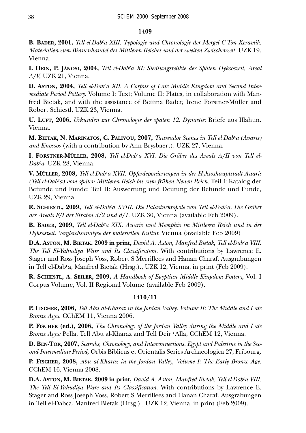### **1409**

**B. BADER, 2001,** *Tell el-Dabca XIII. Typologie und Chronologie der Mergel C-Ton Keramik. Materialien zum Binnenhandel des Mittleren Reiches und der zweiten Zwischenzeit.* UZK 19, Vienna.

**I. HEIN, P. JÁNOSI, 2004,** *Tell el-Dabca XI: Siedlungsrelikte der Späten Hyksoszeit, Areal A/V,* UZK 21, Vienna.

**D. ASTON, 2004,** *Tell el-Dabca XII. A Corpus of Late Middle Kingdom and Second Intermediate Period Pottery.* Volume I: Text; Volume II: Plates*,* in collaboration with Manfred Bietak, and with the assistance of Bettina Bader, Irene Forstner-Müller and Robert Schiestl, UZK 23, Vienna.

**U. LUFT, 2006,** *Urkunden zur Chronologie der späten 12. Dynastie:* Briefe aus Illahun. Vienna.

**M. BIETAK, N. MARINATOS, C. PALIVOU, 2007,** *Taureador Scenes in Tell el Dabca (Avaris) and Knossos* (with a contribution by Ann Brysbaert). UZK 27, Vienna.

**I. FORSTNER-MÜLLER, 2008,** *Tell el-Dabca XVI. Die Gräber des Areals A/II von Tell el-Dabca.* UZK 28, Vienna.

**V. MÜLLER, 2008,** *Tell el-Dabca XVII. Opferdeponierungen in der Hyksoshauptstadt Auaris (Tell el-Dabca) vom späten Mittleren Reich bis zum frühen Neuen Reich.* Teil I: Katalog der Befunde und Funde; Teil II: Auswertung und Deutung der Befunde und Funde, UZK 29, Vienna.

**R. SCHIESTL, 2009,** *Tell el-Dabca XVIII. Die Palastnekropole von Tell el-Dabca. Die Gräber des Areals F/I der Straten d/2 und d/1.* UZK 30, Vienna (available Feb 2009).

**B. BADER, 2009,** *Tell el-Dabca XIX. Auaris und Memphis im Mittleren Reich und in der Hyksoszeit. Vergleichsanalyse der materiellen Kultur.* Vienna (available Feb 2009)

**D.A. ASTON, M. BIETAK. 2009 in print,** *David A. Aston, Manfred Bietak, Tell el-Dabca VIII. The Tell El-Yahudiya Ware and Its Classification.* With contributions by Lawrence E. Stager and Ross Joseph Voss, Robert S Merrillees and Hanan Charaf. Ausgrabungen in Tell el-Dabca, Manfred Bietak (Hrsg.)., UZK 12, Vienna, in print (Feb 2009).

**R. SCHIESTL, A. SEILER, 2009,** *A Handbook of Egyptian Middle Kingdom Pottery,* Vol. I Corpus Volume, Vol. II Regional Volume (available Feb 2009).

# **1410/11**

**P. FISCHER, 2006,** *Tell Abu al-Kharaz in the Jordan Valley. Volume II: The Middle and Late Bronze Ages.* CChEM 11, Vienna 2006.

**P. FISCHER (ed.), 2006,** *The Chronology of the Jordan Valley during the Middle and Late Bronze Ages:* Pella, Tell Abu al-Kharaz and Tell Deir cAlla, CChEM 12, Vienna.

**D. BEN-TOR, 2007,** *Scarabs, Chronology, and Interconnections. Egypt and Palestine in the Second Intermediate Period,* Orbis Biblicus et Orientalis Series Archaeologica 27, Fribourg.

**P. FISCHER, 2008,** *Abu al-Kharaz in the Jordan Valley, Volume I: The Early Bronze Age.* CChEM 16, Vienna 2008.

**D.A. ASTON, M. BIETAK. 2009 in print,** *David A. Aston, Manfred Bietak, Tell el-Dabca VIII. The Tell El-Yahudiya Ware and Its Classification.* With contributions by Lawrence E. Stager and Ross Joseph Voss, Robert S Merrillees and Hanan Charaf. Ausgrabungen in Tell el-Dabca, Manfred Bietak (Hrsg.)., UZK 12, Vienna, in print (Feb 2009).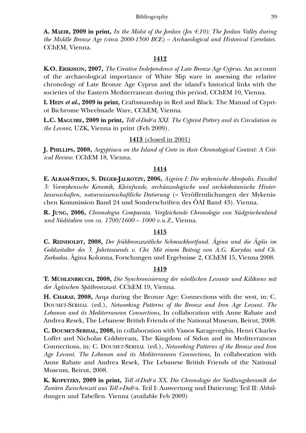**A. MAEIR, 2009 in print,** *In the Midst of the Jordan (Jos 4:10): The Jordan Valley during the Middle Bronze Age (circa 2000-1500 BCE) – Archaeological and Historical Correlates.* CChEM, Vienna.

#### **1412**

**K.O. ERIKSSON, 2007,** *The Creative Independence of Late Bronze Age Cyprus.* An account of the archaeological importance of White Slip ware in assessing the relative chronology of Late Bronze Age Cyprus and the island's historical links with the societies of the Eastern Mediterranean during this period, CChEM 10, Vienna.

**I. HEIN** *et al***., 2009 in print,** Craftsmanship in Red and Black: The Manual of Cypriot Bichrome Wheelmade Ware, CChEM, Vienna.

**L.C. MAGUIRE, 2009 in print,** *Tell el-Dabca XXI. The Cypriot Pottery and its Circulation in the Levant,* UZK, Vienna in print (Feb 2009).

### **1413** (closed in 2001)

**J. PHILLIPS, 2008,** *Aegyptiaca on the Island of Crete in their Chronological Context: A Critical Review.* CChEM 18, Vienna.

#### **1414**

**E. ALRAM-STERN, S. DEGER-JALKOTZY, 2006,** *Aigeira I: Die mykenische Akropolis. Faszikel 3: Vormykenische Keramik, Kleinfunde, archäozoologische und archäobotanische Hinterlassenschaften, naturwissenschaftliche Datierung* (= Veröffentlichungen der Mykenischen Kommission Band 24 und Sonderschriften des ÖAI Band 43). Vienna.

**R. JUNG, 2006,** *Chronologia Comparata. Vergleichende Chronologie von Südgriechenland und Süditalien von ca. 1700/1600 – 1000 v.u.Z*., Vienna.

### **1415**

**C. REINHOLDT, 2008,** *Der frühbronzezeitliche Schmuckhortfund. Ägina und die Ägäis im Goldzeitalter des 3. Jahrtausends v. Chr. Mit einem Beitrag von A.G. Karydas und Ch. Zarkadas.* Ägina Kolonna, Forschungen und Ergebnisse 2, CChEM 15, Vienna 2008.

#### **1419**

**T. MÜHLENBRUCH, 2008,** *Die Synchronisierung der nördlichen Levante und Kilikiens mit der Ägäischen Spätbronzezeit.* CChEM 19, Vienna.

**H. CHARAF, 2008,** Arqa during the Bronze Age: Connections with the west, in: C. DOUMET-SERHAL (ed.), *Networking Patterns of the Bronze and Iron Age Levant. The Lebanon and its Mediterranean Connections,* In collaboration with Anne Rabate and Andrea Resek, The Lebanese British Friends of the National Museum, Beirut, 2008.

**C. DOUMET-SERHAL, 2008,** in collaboration with Vassos Karageorghis, Henri Charles Loffet and Nicholas Coldstream, The Kingdom of Sidon and its Mediterranean Connections, in: C. DOUMET-SERHAL (ed.), *Networking Patterns of the Bronze and Iron Age Levant. The Lebanon and its Mediterranean Connections,* In collaboration with Anne Rabate and Andrea Resek, The Lebanese British Friends of the National Museum, Beirut, 2008.

**K. KOPETZKY, 2009 in print,** *Tell el-Dabca XX. Die Chronologie der Siedlungskeramik der Zweiten Zwischenzeit aus Tell e-Dabca.* Teil I: Auswertung und Datierung; Teil II: Abbildungen und Tabellen. Vienna (available Feb 2009)